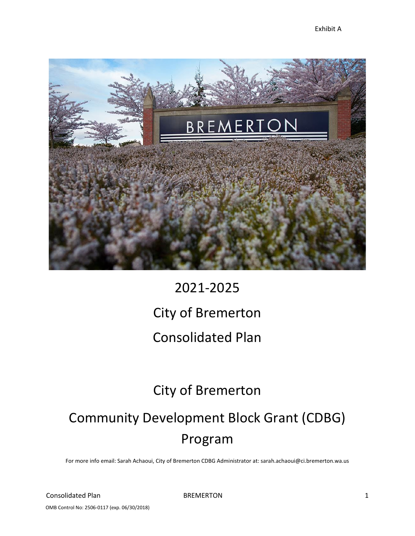

# 2021-2025 City of Bremerton Consolidated Plan

# City of Bremerton

# Community Development Block Grant (CDBG) Program

For more info email: Sarah Achaoui, City of Bremerton CDBG Administrator at: sarah.achaoui@ci.bremerton.wa.us

Consolidated Plan 1 and 1 BREMERTON 1 and 1 and 1 and 1 and 1 and 1 and 1 and 1 and 1 and 1 and 1 and 1 and 1 and 1 and 1 and 1 and 1 and 1 and 1 and 1 and 1 and 1 and 1 and 1 and 1 and 1 and 1 and 1 and 1 and 1 and 1 and

OMB Control No: 2506-0117 (exp. 06/30/2018)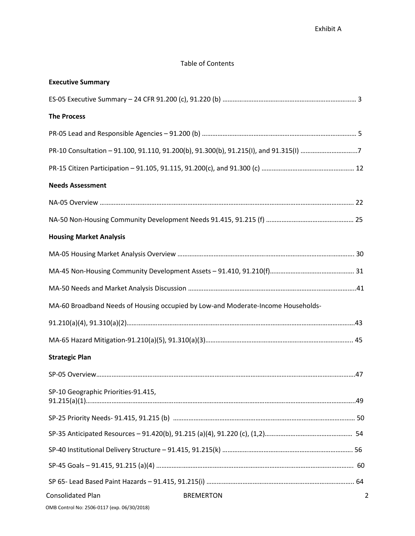# Table of Contents

| <b>Executive Summary</b>            |                                                                                       |   |
|-------------------------------------|---------------------------------------------------------------------------------------|---|
|                                     |                                                                                       |   |
| <b>The Process</b>                  |                                                                                       |   |
|                                     |                                                                                       |   |
|                                     | PR-10 Consultation - 91.100, 91.110, 91.200(b), 91.300(b), 91.215(l), and 91.315(l) 7 |   |
|                                     |                                                                                       |   |
| <b>Needs Assessment</b>             |                                                                                       |   |
|                                     |                                                                                       |   |
|                                     |                                                                                       |   |
| <b>Housing Market Analysis</b>      |                                                                                       |   |
|                                     |                                                                                       |   |
|                                     |                                                                                       |   |
|                                     |                                                                                       |   |
|                                     | MA-60 Broadband Needs of Housing occupied by Low-and Moderate-Income Households-      |   |
|                                     |                                                                                       |   |
|                                     |                                                                                       |   |
| <b>Strategic Plan</b>               |                                                                                       |   |
|                                     |                                                                                       |   |
| SP-10 Geographic Priorities-91.415, |                                                                                       |   |
|                                     |                                                                                       |   |
|                                     |                                                                                       |   |
|                                     |                                                                                       |   |
|                                     |                                                                                       |   |
|                                     |                                                                                       |   |
| Consolidated Plan                   | <b>BREMERTON</b>                                                                      | 2 |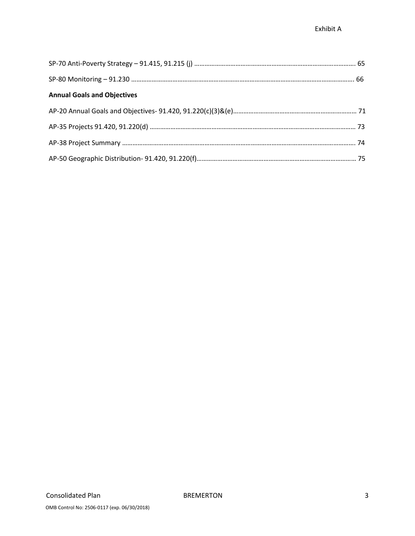| <b>Annual Goals and Objectives</b> |  |
|------------------------------------|--|
|                                    |  |
|                                    |  |
|                                    |  |
|                                    |  |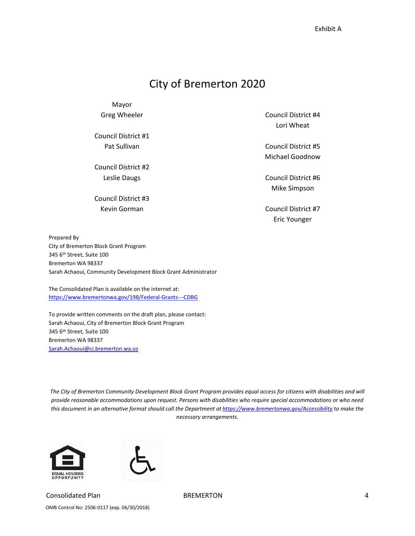# City of Bremerton 2020

Mayor Greg Wheeler

Council District #1 Pat Sullivan

Council District #2 Leslie Daugs

Council District #3 Kevin Gorman

Council District #4 Lori Wheat

Council District #5 Michael Goodnow

Council District #6 Mike Simpson

Council District #7 Eric Younger

Prepared By City of Bremerton Block Grant Program 345 6th Street, Suite 100 Bremerton WA 98337 Sarah Achaoui, Community Development Block Grant Administrator

The Consolidated Plan is available on the internet at: <https://www.bremertonwa.gov/198/Federal-Grants---CDBG>

To provide written comments on the draft plan, please contact: Sarah Achaoui, City of Bremerton Block Grant Program 345 6th Street, Suite 100 Bremerton WA 98337 [Sarah.Achaoui@ci.bremerton.wa.us](mailto:Sarah.Achaoui@ci.bremerton.wa.us)

*The City of Bremerton Community Development Block Grant Program provides equal access for citizens with disabilities and will provide reasonable accommodations upon request. Persons with disabilities who require special accommodations or who need this document in an alternative format should call the Department at <https://www.bremertonwa.gov/Accessibility> to make the necessary arrangements.*





Consolidated Plan and the Consolidated Plan and the BREMERTON 4 and the Consolidated Plan and 4 and 4 and 4 and 4 and 4 and 4 and 4 and 4 and 4 and 4 and 4 and 4 and 4 and 4 and 4 and 4 and 4 and 4 and 4 and 4 and 4 and 4 OMB Control No: 2506-0117 (exp. 06/30/2018)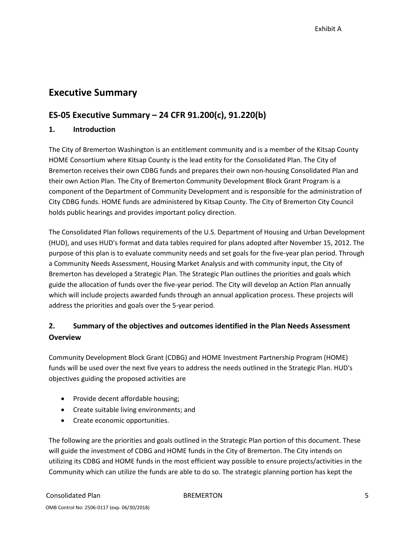# **Executive Summary**

# **ES-05 Executive Summary – 24 CFR 91.200(c), 91.220(b)**

# **1. Introduction**

The City of Bremerton Washington is an entitlement community and is a member of the Kitsap County HOME Consortium where Kitsap County is the lead entity for the Consolidated Plan. The City of Bremerton receives their own CDBG funds and prepares their own non-housing Consolidated Plan and their own Action Plan. The City of Bremerton Community Development Block Grant Program is a component of the Department of Community Development and is responsible for the administration of City CDBG funds. HOME funds are administered by Kitsap County. The City of Bremerton City Council holds public hearings and provides important policy direction.

The Consolidated Plan follows requirements of the U.S. Department of Housing and Urban Development (HUD), and uses HUD's format and data tables required for plans adopted after November 15, 2012. The purpose of this plan is to evaluate community needs and set goals for the five-year plan period. Through a Community Needs Assessment, Housing Market Analysis and with community input, the City of Bremerton has developed a Strategic Plan. The Strategic Plan outlines the priorities and goals which guide the allocation of funds over the five-year period. The City will develop an Action Plan annually which will include projects awarded funds through an annual application process. These projects will address the priorities and goals over the 5-year period.

# **2. Summary of the objectives and outcomes identified in the Plan Needs Assessment Overview**

Community Development Block Grant (CDBG) and HOME Investment Partnership Program (HOME) funds will be used over the next five years to address the needs outlined in the Strategic Plan. HUD's objectives guiding the proposed activities are

- Provide decent affordable housing;
- Create suitable living environments; and
- Create economic opportunities.

The following are the priorities and goals outlined in the Strategic Plan portion of this document. These will guide the investment of CDBG and HOME funds in the City of Bremerton. The City intends on utilizing its CDBG and HOME funds in the most efficient way possible to ensure projects/activities in the Community which can utilize the funds are able to do so. The strategic planning portion has kept the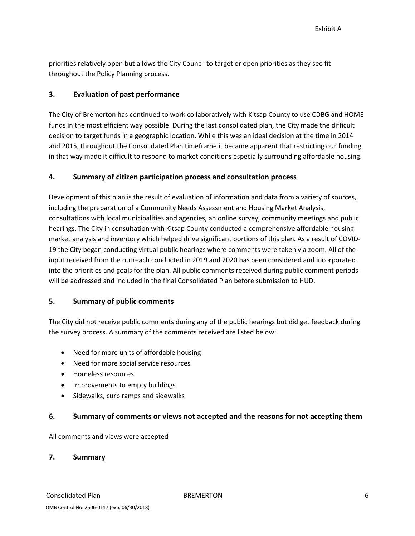priorities relatively open but allows the City Council to target or open priorities as they see fit throughout the Policy Planning process.

# **3. Evaluation of past performance**

The City of Bremerton has continued to work collaboratively with Kitsap County to use CDBG and HOME funds in the most efficient way possible. During the last consolidated plan, the City made the difficult decision to target funds in a geographic location. While this was an ideal decision at the time in 2014 and 2015, throughout the Consolidated Plan timeframe it became apparent that restricting our funding in that way made it difficult to respond to market conditions especially surrounding affordable housing.

# **4. Summary of citizen participation process and consultation process**

Development of this plan is the result of evaluation of information and data from a variety of sources, including the preparation of a Community Needs Assessment and Housing Market Analysis, consultations with local municipalities and agencies, an online survey, community meetings and public hearings. The City in consultation with Kitsap County conducted a comprehensive affordable housing market analysis and inventory which helped drive significant portions of this plan. As a result of COVID-19 the City began conducting virtual public hearings where comments were taken via zoom. All of the input received from the outreach conducted in 2019 and 2020 has been considered and incorporated into the priorities and goals for the plan. All public comments received during public comment periods will be addressed and included in the final Consolidated Plan before submission to HUD.

# **5. Summary of public comments**

The City did not receive public comments during any of the public hearings but did get feedback during the survey process. A summary of the comments received are listed below:

- Need for more units of affordable housing
- Need for more social service resources
- Homeless resources
- Improvements to empty buildings
- Sidewalks, curb ramps and sidewalks

#### **6. Summary of comments or views not accepted and the reasons for not accepting them**

All comments and views were accepted

#### **7. Summary**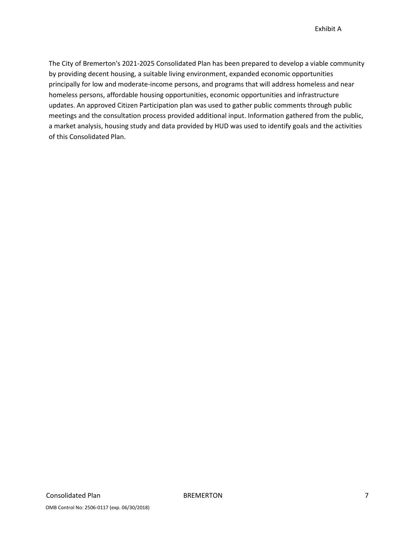The City of Bremerton's 2021-2025 Consolidated Plan has been prepared to develop a viable community by providing decent housing, a suitable living environment, expanded economic opportunities principally for low and moderate-income persons, and programs that will address homeless and near homeless persons, affordable housing opportunities, economic opportunities and infrastructure updates. An approved Citizen Participation plan was used to gather public comments through public meetings and the consultation process provided additional input. Information gathered from the public, a market analysis, housing study and data provided by HUD was used to identify goals and the activities of this Consolidated Plan.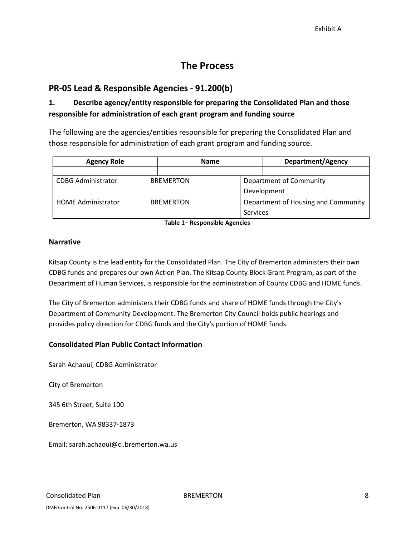# **The Process**

# **PR-05 Lead & Responsible Agencies - 91.200(b)**

# **1. Describe agency/entity responsible for preparing the Consolidated Plan and those responsible for administration of each grant program and funding source**

The following are the agencies/entities responsible for preparing the Consolidated Plan and those responsible for administration of each grant program and funding source.

| <b>Agency Role</b>        |  | <b>Name</b>      |                                     | <b>Department/Agency</b> |  |
|---------------------------|--|------------------|-------------------------------------|--------------------------|--|
|                           |  |                  |                                     |                          |  |
| <b>CDBG Administrator</b> |  | <b>BREMERTON</b> |                                     | Department of Community  |  |
|                           |  |                  | Development                         |                          |  |
| <b>HOME Administrator</b> |  | <b>BREMERTON</b> | Department of Housing and Community |                          |  |
|                           |  |                  | Services                            |                          |  |

**Table 1– Responsible Agencies**

#### **Narrative**

Kitsap County is the lead entity for the Consolidated Plan. The City of Bremerton administers their own CDBG funds and prepares our own Action Plan. The Kitsap County Block Grant Program, as part of the Department of Human Services, is responsible for the administration of County CDBG and HOME funds.

The City of Bremerton administers their CDBG funds and share of HOME funds through the City's Department of Community Development. The Bremerton City Council holds public hearings and provides policy direction for CDBG funds and the City's portion of HOME funds.

# **Consolidated Plan Public Contact Information**

Sarah Achaoui, CDBG Administrator

City of Bremerton

345 6th Street, Suite 100

Bremerton, WA 98337-1873

Email: sarah.achaoui@ci.bremerton.wa.us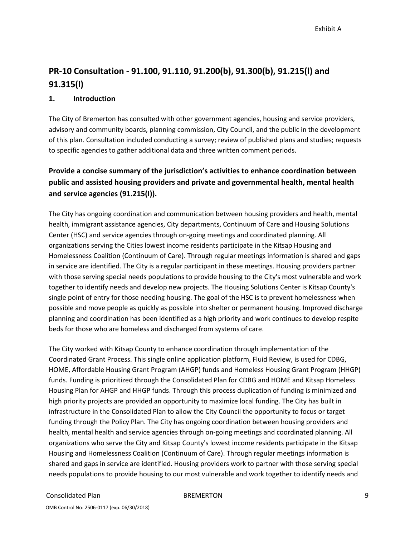# **PR-10 Consultation - 91.100, 91.110, 91.200(b), 91.300(b), 91.215(l) and 91.315(l)**

#### **1. Introduction**

The City of Bremerton has consulted with other government agencies, housing and service providers, advisory and community boards, planning commission, City Council, and the public in the development of this plan. Consultation included conducting a survey; review of published plans and studies; requests to specific agencies to gather additional data and three written comment periods.

# **Provide a concise summary of the jurisdiction's activities to enhance coordination between public and assisted housing providers and private and governmental health, mental health and service agencies (91.215(I)).**

The City has ongoing coordination and communication between housing providers and health, mental health, immigrant assistance agencies, City departments, Continuum of Care and Housing Solutions Center (HSC) and service agencies through on-going meetings and coordinated planning. All organizations serving the Cities lowest income residents participate in the Kitsap Housing and Homelessness Coalition (Continuum of Care). Through regular meetings information is shared and gaps in service are identified. The City is a regular participant in these meetings. Housing providers partner with those serving special needs populations to provide housing to the City's most vulnerable and work together to identify needs and develop new projects. The Housing Solutions Center is Kitsap County's single point of entry for those needing housing. The goal of the HSC is to prevent homelessness when possible and move people as quickly as possible into shelter or permanent housing. Improved discharge planning and coordination has been identified as a high priority and work continues to develop respite beds for those who are homeless and discharged from systems of care.

The City worked with Kitsap County to enhance coordination through implementation of the Coordinated Grant Process. This single online application platform, Fluid Review, is used for CDBG, HOME, Affordable Housing Grant Program (AHGP) funds and Homeless Housing Grant Program (HHGP) funds. Funding is prioritized through the Consolidated Plan for CDBG and HOME and Kitsap Homeless Housing Plan for AHGP and HHGP funds. Through this process duplication of funding is minimized and high priority projects are provided an opportunity to maximize local funding. The City has built in infrastructure in the Consolidated Plan to allow the City Council the opportunity to focus or target funding through the Policy Plan. The City has ongoing coordination between housing providers and health, mental health and service agencies through on-going meetings and coordinated planning. All organizations who serve the City and Kitsap County's lowest income residents participate in the Kitsap Housing and Homelessness Coalition (Continuum of Care). Through regular meetings information is shared and gaps in service are identified. Housing providers work to partner with those serving special needs populations to provide housing to our most vulnerable and work together to identify needs and

#### Consolidated Plan 8 and 8 and 8 BREMERTON 9 and 9 and 9 and 9 and 9 and 9 and 9 and 9 and 9 and 9 and 9 and 9 and 9 and 9 and 9 and 9 and 9 and 9 and 9 and 9 and 9 and 9 and 9 and 9 and 9 and 9 and 9 and 9 and 9 and 9 and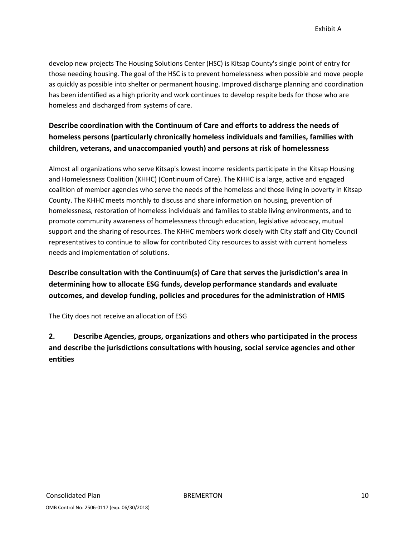develop new projects The Housing Solutions Center (HSC) is Kitsap County's single point of entry for those needing housing. The goal of the HSC is to prevent homelessness when possible and move people as quickly as possible into shelter or permanent housing. Improved discharge planning and coordination has been identified as a high priority and work continues to develop respite beds for those who are homeless and discharged from systems of care.

# **Describe coordination with the Continuum of Care and efforts to address the needs of homeless persons (particularly chronically homeless individuals and families, families with children, veterans, and unaccompanied youth) and persons at risk of homelessness**

Almost all organizations who serve Kitsap's lowest income residents participate in the Kitsap Housing and Homelessness Coalition (KHHC) (Continuum of Care). The KHHC is a large, active and engaged coalition of member agencies who serve the needs of the homeless and those living in poverty in Kitsap County. The KHHC meets monthly to discuss and share information on housing, prevention of homelessness, restoration of homeless individuals and families to stable living environments, and to promote community awareness of homelessness through education, legislative advocacy, mutual support and the sharing of resources. The KHHC members work closely with City staff and City Council representatives to continue to allow for contributed City resources to assist with current homeless needs and implementation of solutions.

**Describe consultation with the Continuum(s) of Care that serves the jurisdiction's area in determining how to allocate ESG funds, develop performance standards and evaluate outcomes, and develop funding, policies and procedures for the administration of HMIS**

The City does not receive an allocation of ESG

**2. Describe Agencies, groups, organizations and others who participated in the process and describe the jurisdictions consultations with housing, social service agencies and other entities**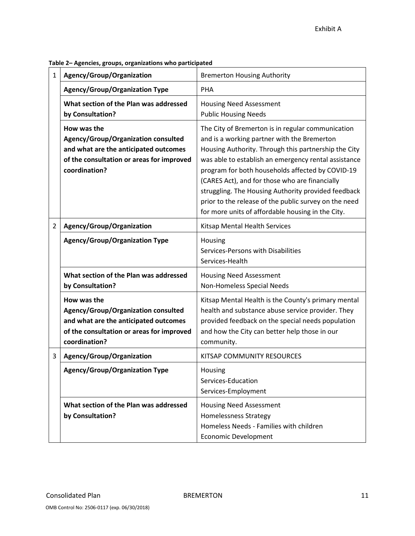| 1 | Agency/Group/Organization                                                                                                                                 | <b>Bremerton Housing Authority</b>                                                                                                                                                                                                                                                                                                                                                                                                                                                          |  |  |  |
|---|-----------------------------------------------------------------------------------------------------------------------------------------------------------|---------------------------------------------------------------------------------------------------------------------------------------------------------------------------------------------------------------------------------------------------------------------------------------------------------------------------------------------------------------------------------------------------------------------------------------------------------------------------------------------|--|--|--|
|   | <b>Agency/Group/Organization Type</b>                                                                                                                     | <b>PHA</b>                                                                                                                                                                                                                                                                                                                                                                                                                                                                                  |  |  |  |
|   | What section of the Plan was addressed<br>by Consultation?                                                                                                | <b>Housing Need Assessment</b><br><b>Public Housing Needs</b>                                                                                                                                                                                                                                                                                                                                                                                                                               |  |  |  |
|   | How was the<br>Agency/Group/Organization consulted<br>and what are the anticipated outcomes<br>of the consultation or areas for improved<br>coordination? | The City of Bremerton is in regular communication<br>and is a working partner with the Bremerton<br>Housing Authority. Through this partnership the City<br>was able to establish an emergency rental assistance<br>program for both households affected by COVID-19<br>(CARES Act), and for those who are financially<br>struggling. The Housing Authority provided feedback<br>prior to the release of the public survey on the need<br>for more units of affordable housing in the City. |  |  |  |
| 2 | Agency/Group/Organization                                                                                                                                 | Kitsap Mental Health Services                                                                                                                                                                                                                                                                                                                                                                                                                                                               |  |  |  |
|   | <b>Agency/Group/Organization Type</b>                                                                                                                     | Housing<br>Services-Persons with Disabilities<br>Services-Health                                                                                                                                                                                                                                                                                                                                                                                                                            |  |  |  |
|   | What section of the Plan was addressed<br>by Consultation?                                                                                                | <b>Housing Need Assessment</b><br>Non-Homeless Special Needs                                                                                                                                                                                                                                                                                                                                                                                                                                |  |  |  |
|   | How was the<br>Agency/Group/Organization consulted<br>and what are the anticipated outcomes<br>of the consultation or areas for improved<br>coordination? | Kitsap Mental Health is the County's primary mental<br>health and substance abuse service provider. They<br>provided feedback on the special needs population<br>and how the City can better help those in our<br>community.                                                                                                                                                                                                                                                                |  |  |  |
| 3 | Agency/Group/Organization                                                                                                                                 | KITSAP COMMUNITY RESOURCES                                                                                                                                                                                                                                                                                                                                                                                                                                                                  |  |  |  |
|   | <b>Agency/Group/Organization Type</b>                                                                                                                     | Housing<br>Services-Education<br>Services-Employment                                                                                                                                                                                                                                                                                                                                                                                                                                        |  |  |  |
|   | What section of the Plan was addressed<br>by Consultation?                                                                                                | <b>Housing Need Assessment</b><br><b>Homelessness Strategy</b><br>Homeless Needs - Families with children<br><b>Economic Development</b>                                                                                                                                                                                                                                                                                                                                                    |  |  |  |

**Table 2– Agencies, groups, organizations who participated**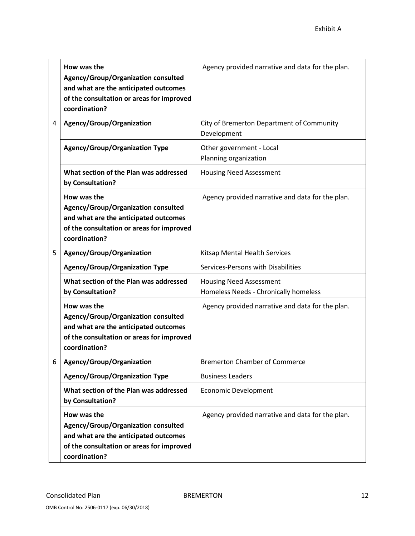|   | How was the<br>Agency/Group/Organization consulted<br>and what are the anticipated outcomes<br>of the consultation or areas for improved<br>coordination? | Agency provided narrative and data for the plan.                        |
|---|-----------------------------------------------------------------------------------------------------------------------------------------------------------|-------------------------------------------------------------------------|
| 4 | Agency/Group/Organization                                                                                                                                 | City of Bremerton Department of Community<br>Development                |
|   | <b>Agency/Group/Organization Type</b>                                                                                                                     | Other government - Local<br>Planning organization                       |
|   | What section of the Plan was addressed<br>by Consultation?                                                                                                | <b>Housing Need Assessment</b>                                          |
|   | How was the<br>Agency/Group/Organization consulted<br>and what are the anticipated outcomes<br>of the consultation or areas for improved<br>coordination? | Agency provided narrative and data for the plan.                        |
| 5 | Agency/Group/Organization                                                                                                                                 | Kitsap Mental Health Services                                           |
|   | <b>Agency/Group/Organization Type</b>                                                                                                                     | Services-Persons with Disabilities                                      |
|   | What section of the Plan was addressed<br>by Consultation?                                                                                                | <b>Housing Need Assessment</b><br>Homeless Needs - Chronically homeless |
|   | How was the<br>Agency/Group/Organization consulted<br>and what are the anticipated outcomes<br>of the consultation or areas for improved<br>coordination? | Agency provided narrative and data for the plan.                        |
| 6 | Agency/Group/Organization                                                                                                                                 | <b>Bremerton Chamber of Commerce</b>                                    |
|   | <b>Agency/Group/Organization Type</b>                                                                                                                     | <b>Business Leaders</b>                                                 |
|   | What section of the Plan was addressed<br>by Consultation?                                                                                                | <b>Economic Development</b>                                             |
|   | How was the<br>Agency/Group/Organization consulted<br>and what are the anticipated outcomes<br>of the consultation or areas for improved<br>coordination? | Agency provided narrative and data for the plan.                        |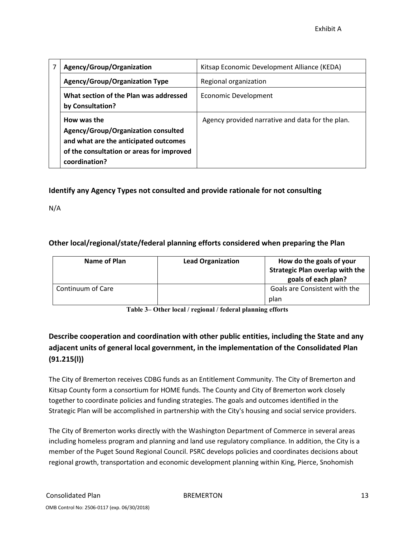| Agency/Group/Organization                                                                                                                                 | Kitsap Economic Development Alliance (KEDA)      |  |  |
|-----------------------------------------------------------------------------------------------------------------------------------------------------------|--------------------------------------------------|--|--|
| <b>Agency/Group/Organization Type</b>                                                                                                                     | Regional organization                            |  |  |
| What section of the Plan was addressed<br>by Consultation?                                                                                                | Economic Development                             |  |  |
| How was the<br>Agency/Group/Organization consulted<br>and what are the anticipated outcomes<br>of the consultation or areas for improved<br>coordination? | Agency provided narrative and data for the plan. |  |  |

# **Identify any Agency Types not consulted and provide rationale for not consulting**

N/A

# **Other local/regional/state/federal planning efforts considered when preparing the Plan**

| Name of Plan      | <b>Lead Organization</b> | How do the goals of your<br><b>Strategic Plan overlap with the</b><br>goals of each plan? |
|-------------------|--------------------------|-------------------------------------------------------------------------------------------|
| Continuum of Care |                          | Goals are Consistent with the                                                             |
|                   |                          | plan                                                                                      |

**Table 3– Other local / regional / federal planning efforts**

# **Describe cooperation and coordination with other public entities, including the State and any adjacent units of general local government, in the implementation of the Consolidated Plan (91.215(l))**

The City of Bremerton receives CDBG funds as an Entitlement Community. The City of Bremerton and Kitsap County form a consortium for HOME funds. The County and City of Bremerton work closely together to coordinate policies and funding strategies. The goals and outcomes identified in the Strategic Plan will be accomplished in partnership with the City's housing and social service providers.

The City of Bremerton works directly with the Washington Department of Commerce in several areas including homeless program and planning and land use regulatory compliance. In addition, the City is a member of the Puget Sound Regional Council. PSRC develops policies and coordinates decisions about regional growth, transportation and economic development planning within King, Pierce, Snohomish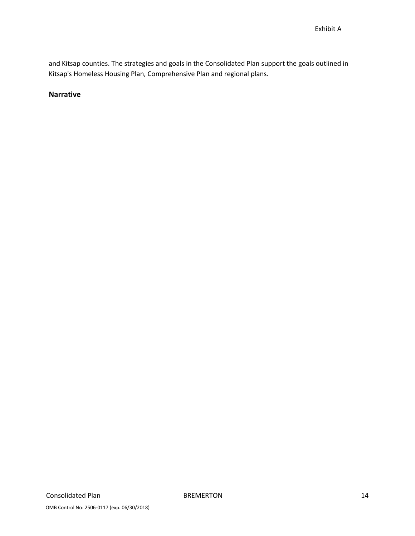and Kitsap counties. The strategies and goals in the Consolidated Plan support the goals outlined in Kitsap's Homeless Housing Plan, Comprehensive Plan and regional plans.

# **Narrative**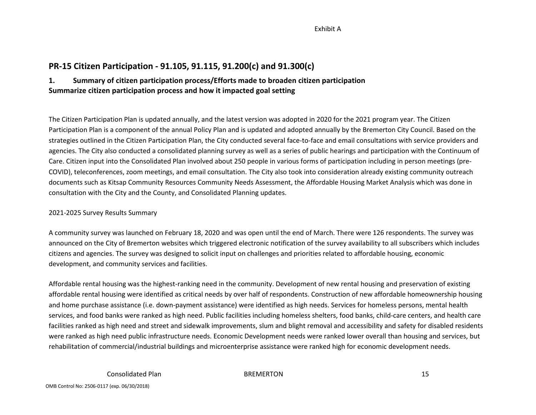# **PR-15 Citizen Participation - 91.105, 91.115, 91.200(c) and 91.300(c)**

# **1. Summary of citizen participation process/Efforts made to broaden citizen participation Summarize citizen participation process and how it impacted goal setting**

The Citizen Participation Plan is updated annually, and the latest version was adopted in 2020 for the 2021 program year. The Citizen Participation Plan is a component of the annual Policy Plan and is updated and adopted annually by the Bremerton City Council. Based on the strategies outlined in the Citizen Participation Plan, the City conducted several face-to-face and email consultations with service providers and agencies. The City also conducted a consolidated planning survey as well as a series of public hearings and participation with the Continuum of Care. Citizen input into the Consolidated Plan involved about 250 people in various forms of participation including in person meetings (pre-COVID), teleconferences, zoom meetings, and email consultation. The City also took into consideration already existing community outreach documents such as Kitsap Community Resources Community Needs Assessment, the Affordable Housing Market Analysis which was done in consultation with the City and the County, and Consolidated Planning updates.

#### 2021-2025 Survey Results Summary

A community survey was launched on February 18, 2020 and was open until the end of March. There were 126 respondents. The survey was announced on the City of Bremerton websites which triggered electronic notification of the survey availability to all subscribers which includes citizens and agencies. The survey was designed to solicit input on challenges and priorities related to affordable housing, economic development, and community services and facilities.

Affordable rental housing was the highest-ranking need in the community. Development of new rental housing and preservation of existing affordable rental housing were identified as critical needs by over half of respondents. Construction of new affordable homeownership housing and home purchase assistance (i.e. down-payment assistance) were identified as high needs. Services for homeless persons, mental health services, and food banks were ranked as high need. Public facilities including homeless shelters, food banks, child-care centers, and health care facilities ranked as high need and street and sidewalk improvements, slum and blight removal and accessibility and safety for disabled residents were ranked as high need public infrastructure needs. Economic Development needs were ranked lower overall than housing and services, but rehabilitation of commercial/industrial buildings and microenterprise assistance were ranked high for economic development needs.

Consolidated Plan 15 and 2008 BREMERTON 15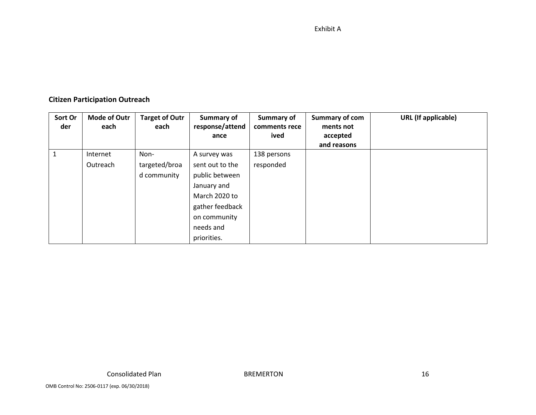# **Citizen Participation Outreach**

| Sort Or<br>der | <b>Mode of Outr</b><br>each | <b>Target of Outr</b><br>each | Summary of<br>response/attend<br>ance | <b>Summary of</b><br>comments rece<br>ived | Summary of com<br>ments not<br>accepted<br>and reasons | <b>URL</b> (If applicable) |
|----------------|-----------------------------|-------------------------------|---------------------------------------|--------------------------------------------|--------------------------------------------------------|----------------------------|
|                | Internet                    | Non-                          | A survey was                          | 138 persons                                |                                                        |                            |
|                | Outreach                    | targeted/broa                 | sent out to the                       | responded                                  |                                                        |                            |
|                |                             | d community                   | public between                        |                                            |                                                        |                            |
|                |                             |                               | January and                           |                                            |                                                        |                            |
|                |                             |                               | March 2020 to                         |                                            |                                                        |                            |
|                |                             |                               | gather feedback                       |                                            |                                                        |                            |
|                |                             |                               | on community                          |                                            |                                                        |                            |
|                |                             |                               | needs and                             |                                            |                                                        |                            |
|                |                             |                               | priorities.                           |                                            |                                                        |                            |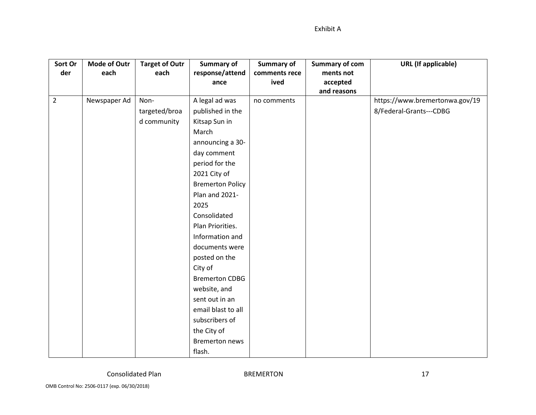| Sort Or        | <b>Mode of Outr</b> | <b>Target of Outr</b> | <b>Summary of</b>       | <b>Summary of</b> | <b>Summary of com</b> | <b>URL</b> (If applicable)     |
|----------------|---------------------|-----------------------|-------------------------|-------------------|-----------------------|--------------------------------|
| der            | each                | each                  | response/attend         | comments rece     | ments not             |                                |
|                |                     |                       | ance                    | ived              | accepted              |                                |
|                |                     |                       |                         |                   | and reasons           |                                |
| $\overline{2}$ | Newspaper Ad        | Non-                  | A legal ad was          | no comments       |                       | https://www.bremertonwa.gov/19 |
|                |                     | targeted/broa         | published in the        |                   |                       | 8/Federal-Grants---CDBG        |
|                |                     | d community           | Kitsap Sun in           |                   |                       |                                |
|                |                     |                       | March                   |                   |                       |                                |
|                |                     |                       | announcing a 30-        |                   |                       |                                |
|                |                     |                       | day comment             |                   |                       |                                |
|                |                     |                       | period for the          |                   |                       |                                |
|                |                     |                       | 2021 City of            |                   |                       |                                |
|                |                     |                       | <b>Bremerton Policy</b> |                   |                       |                                |
|                |                     |                       | Plan and 2021-          |                   |                       |                                |
|                |                     |                       | 2025                    |                   |                       |                                |
|                |                     |                       | Consolidated            |                   |                       |                                |
|                |                     |                       | Plan Priorities.        |                   |                       |                                |
|                |                     |                       | Information and         |                   |                       |                                |
|                |                     |                       | documents were          |                   |                       |                                |
|                |                     |                       | posted on the           |                   |                       |                                |
|                |                     |                       | City of                 |                   |                       |                                |
|                |                     |                       | <b>Bremerton CDBG</b>   |                   |                       |                                |
|                |                     |                       | website, and            |                   |                       |                                |
|                |                     |                       | sent out in an          |                   |                       |                                |
|                |                     |                       | email blast to all      |                   |                       |                                |
|                |                     |                       | subscribers of          |                   |                       |                                |
|                |                     |                       | the City of             |                   |                       |                                |
|                |                     |                       | <b>Bremerton news</b>   |                   |                       |                                |
|                |                     |                       | flash.                  |                   |                       |                                |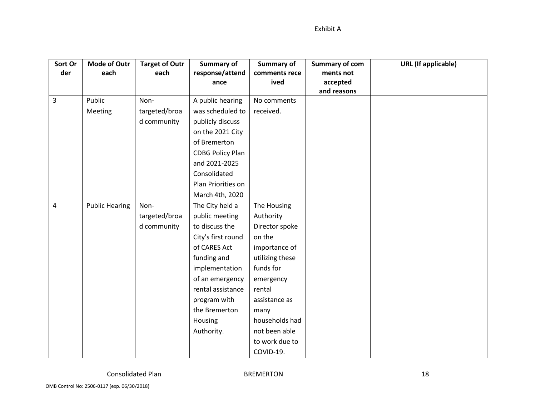| Sort Or | <b>Mode of Outr</b>   | <b>Target of Outr</b> | <b>Summary of</b>       | <b>Summary of</b> | <b>Summary of com</b> | <b>URL</b> (If applicable) |
|---------|-----------------------|-----------------------|-------------------------|-------------------|-----------------------|----------------------------|
| der     | each                  | each                  | response/attend         | comments rece     | ments not             |                            |
|         |                       |                       | ance                    | ived              | accepted              |                            |
|         |                       |                       |                         |                   | and reasons           |                            |
| 3       | Public                | Non-                  | A public hearing        | No comments       |                       |                            |
|         | Meeting               | targeted/broa         | was scheduled to        | received.         |                       |                            |
|         |                       | d community           | publicly discuss        |                   |                       |                            |
|         |                       |                       | on the 2021 City        |                   |                       |                            |
|         |                       |                       | of Bremerton            |                   |                       |                            |
|         |                       |                       | <b>CDBG Policy Plan</b> |                   |                       |                            |
|         |                       |                       | and 2021-2025           |                   |                       |                            |
|         |                       |                       | Consolidated            |                   |                       |                            |
|         |                       |                       | Plan Priorities on      |                   |                       |                            |
|         |                       |                       | March 4th, 2020         |                   |                       |                            |
| 4       | <b>Public Hearing</b> | Non-                  | The City held a         | The Housing       |                       |                            |
|         |                       | targeted/broa         | public meeting          | Authority         |                       |                            |
|         |                       | d community           | to discuss the          | Director spoke    |                       |                            |
|         |                       |                       | City's first round      | on the            |                       |                            |
|         |                       |                       | of CARES Act            | importance of     |                       |                            |
|         |                       |                       | funding and             | utilizing these   |                       |                            |
|         |                       |                       | implementation          | funds for         |                       |                            |
|         |                       |                       | of an emergency         | emergency         |                       |                            |
|         |                       |                       | rental assistance       | rental            |                       |                            |
|         |                       |                       | program with            | assistance as     |                       |                            |
|         |                       |                       | the Bremerton           | many              |                       |                            |
|         |                       |                       | Housing                 | households had    |                       |                            |
|         |                       |                       | Authority.              | not been able     |                       |                            |
|         |                       |                       |                         | to work due to    |                       |                            |
|         |                       |                       |                         | COVID-19.         |                       |                            |

Consolidated Plan BREMERTON 18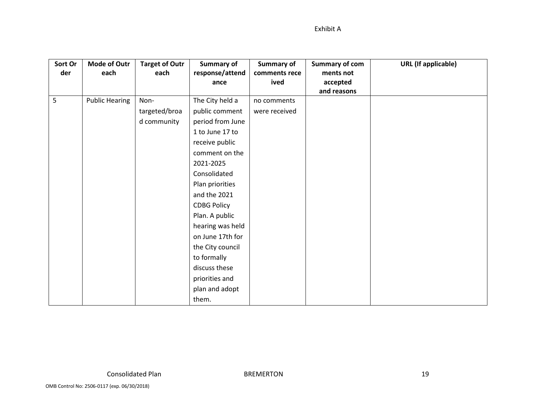| Sort Or<br>der | Mode of Outr<br>each  | <b>Target of Outr</b><br>each | <b>Summary of</b><br>response/attend | <b>Summary of</b><br>comments rece | <b>Summary of com</b><br>ments not | <b>URL</b> (If applicable) |
|----------------|-----------------------|-------------------------------|--------------------------------------|------------------------------------|------------------------------------|----------------------------|
|                |                       |                               | ance                                 | ived                               | accepted                           |                            |
|                |                       |                               |                                      |                                    | and reasons                        |                            |
| 5              | <b>Public Hearing</b> | Non-                          | The City held a                      | no comments                        |                                    |                            |
|                |                       | targeted/broa                 | public comment                       | were received                      |                                    |                            |
|                |                       | d community                   | period from June                     |                                    |                                    |                            |
|                |                       |                               | 1 to June 17 to                      |                                    |                                    |                            |
|                |                       |                               | receive public                       |                                    |                                    |                            |
|                |                       |                               | comment on the                       |                                    |                                    |                            |
|                |                       |                               | 2021-2025                            |                                    |                                    |                            |
|                |                       |                               | Consolidated                         |                                    |                                    |                            |
|                |                       |                               | Plan priorities                      |                                    |                                    |                            |
|                |                       |                               | and the 2021                         |                                    |                                    |                            |
|                |                       |                               | <b>CDBG Policy</b>                   |                                    |                                    |                            |
|                |                       |                               | Plan. A public                       |                                    |                                    |                            |
|                |                       |                               | hearing was held                     |                                    |                                    |                            |
|                |                       |                               | on June 17th for                     |                                    |                                    |                            |
|                |                       |                               | the City council                     |                                    |                                    |                            |
|                |                       |                               | to formally                          |                                    |                                    |                            |
|                |                       |                               | discuss these                        |                                    |                                    |                            |
|                |                       |                               | priorities and                       |                                    |                                    |                            |
|                |                       |                               | plan and adopt                       |                                    |                                    |                            |
|                |                       |                               | them.                                |                                    |                                    |                            |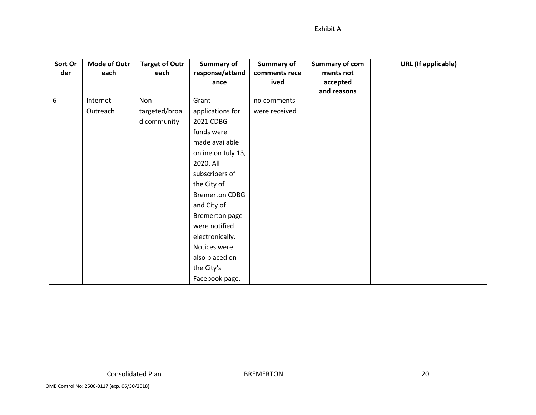| Sort Or | <b>Mode of Outr</b> | <b>Target of Outr</b> | <b>Summary of</b>     | <b>Summary of</b> | <b>Summary of com</b> | <b>URL</b> (If applicable) |
|---------|---------------------|-----------------------|-----------------------|-------------------|-----------------------|----------------------------|
| der     | each                | each                  | response/attend       | comments rece     | ments not             |                            |
|         |                     |                       | ance                  | ived              | accepted              |                            |
|         |                     |                       |                       |                   | and reasons           |                            |
| 6       | Internet            | Non-                  | Grant                 | no comments       |                       |                            |
|         | Outreach            | targeted/broa         | applications for      | were received     |                       |                            |
|         |                     | d community           | 2021 CDBG             |                   |                       |                            |
|         |                     |                       | funds were            |                   |                       |                            |
|         |                     |                       | made available        |                   |                       |                            |
|         |                     |                       | online on July 13,    |                   |                       |                            |
|         |                     |                       | 2020. All             |                   |                       |                            |
|         |                     |                       | subscribers of        |                   |                       |                            |
|         |                     |                       | the City of           |                   |                       |                            |
|         |                     |                       | <b>Bremerton CDBG</b> |                   |                       |                            |
|         |                     |                       | and City of           |                   |                       |                            |
|         |                     |                       | <b>Bremerton page</b> |                   |                       |                            |
|         |                     |                       | were notified         |                   |                       |                            |
|         |                     |                       | electronically.       |                   |                       |                            |
|         |                     |                       | Notices were          |                   |                       |                            |
|         |                     |                       | also placed on        |                   |                       |                            |
|         |                     |                       | the City's            |                   |                       |                            |
|         |                     |                       | Facebook page.        |                   |                       |                            |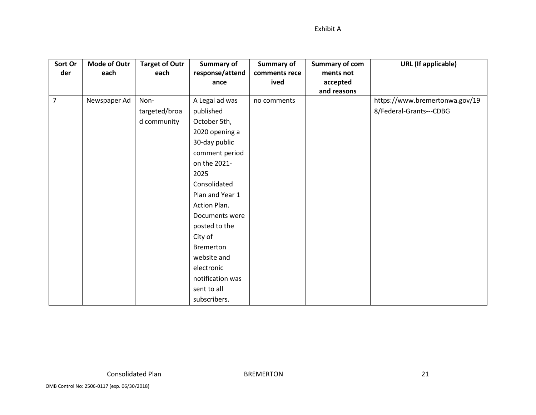| Sort Or<br>der | Mode of Outr<br>each | <b>Target of Outr</b><br>each | Summary of<br>response/attend | <b>Summary of</b><br>comments rece | <b>Summary of com</b><br>ments not | <b>URL</b> (If applicable)     |
|----------------|----------------------|-------------------------------|-------------------------------|------------------------------------|------------------------------------|--------------------------------|
|                |                      |                               | ance                          | ived                               | accepted                           |                                |
|                |                      |                               |                               |                                    | and reasons                        |                                |
| $\overline{7}$ | Newspaper Ad         | Non-                          | A Legal ad was                | no comments                        |                                    | https://www.bremertonwa.gov/19 |
|                |                      | targeted/broa                 | published                     |                                    |                                    | 8/Federal-Grants---CDBG        |
|                |                      | d community                   | October 5th,                  |                                    |                                    |                                |
|                |                      |                               | 2020 opening a                |                                    |                                    |                                |
|                |                      |                               | 30-day public                 |                                    |                                    |                                |
|                |                      |                               | comment period                |                                    |                                    |                                |
|                |                      |                               | on the 2021-                  |                                    |                                    |                                |
|                |                      |                               | 2025                          |                                    |                                    |                                |
|                |                      |                               | Consolidated                  |                                    |                                    |                                |
|                |                      |                               | Plan and Year 1               |                                    |                                    |                                |
|                |                      |                               | Action Plan.                  |                                    |                                    |                                |
|                |                      |                               | Documents were                |                                    |                                    |                                |
|                |                      |                               | posted to the                 |                                    |                                    |                                |
|                |                      |                               | City of                       |                                    |                                    |                                |
|                |                      |                               | <b>Bremerton</b>              |                                    |                                    |                                |
|                |                      |                               | website and                   |                                    |                                    |                                |
|                |                      |                               | electronic                    |                                    |                                    |                                |
|                |                      |                               | notification was              |                                    |                                    |                                |
|                |                      |                               | sent to all                   |                                    |                                    |                                |
|                |                      |                               | subscribers.                  |                                    |                                    |                                |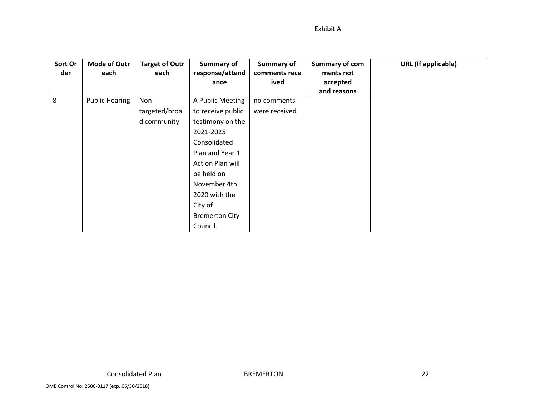| Sort Or | <b>Mode of Outr</b>   | <b>Target of Outr</b> | <b>Summary of</b>     | Summary of    | Summary of com | <b>URL</b> (If applicable) |
|---------|-----------------------|-----------------------|-----------------------|---------------|----------------|----------------------------|
| der     | each                  | each                  | response/attend       | comments rece | ments not      |                            |
|         |                       |                       | ance                  | ived          | accepted       |                            |
|         |                       |                       |                       |               | and reasons    |                            |
| 8       | <b>Public Hearing</b> | Non-                  | A Public Meeting      | no comments   |                |                            |
|         |                       | targeted/broa         | to receive public     | were received |                |                            |
|         |                       | d community           | testimony on the      |               |                |                            |
|         |                       |                       | 2021-2025             |               |                |                            |
|         |                       |                       | Consolidated          |               |                |                            |
|         |                       |                       | Plan and Year 1       |               |                |                            |
|         |                       |                       | Action Plan will      |               |                |                            |
|         |                       |                       | be held on            |               |                |                            |
|         |                       |                       | November 4th,         |               |                |                            |
|         |                       |                       | 2020 with the         |               |                |                            |
|         |                       |                       | City of               |               |                |                            |
|         |                       |                       | <b>Bremerton City</b> |               |                |                            |
|         |                       |                       | Council.              |               |                |                            |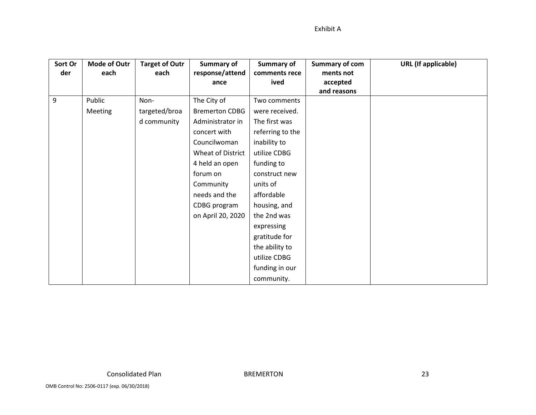| Sort Or | <b>Mode of Outr</b> | <b>Target of Outr</b> | <b>Summary of</b>     | <b>Summary of</b> | <b>Summary of com</b> | <b>URL</b> (If applicable) |
|---------|---------------------|-----------------------|-----------------------|-------------------|-----------------------|----------------------------|
| der     | each                | each                  | response/attend       | comments rece     | ments not             |                            |
|         |                     |                       | ance                  | ived              | accepted              |                            |
|         |                     |                       |                       |                   | and reasons           |                            |
| 9       | Public              | Non-                  | The City of           | Two comments      |                       |                            |
|         | Meeting             | targeted/broa         | <b>Bremerton CDBG</b> | were received.    |                       |                            |
|         |                     | d community           | Administrator in      | The first was     |                       |                            |
|         |                     |                       | concert with          | referring to the  |                       |                            |
|         |                     |                       | Councilwoman          | inability to      |                       |                            |
|         |                     |                       | Wheat of District     | utilize CDBG      |                       |                            |
|         |                     |                       | 4 held an open        | funding to        |                       |                            |
|         |                     |                       | forum on              | construct new     |                       |                            |
|         |                     |                       | Community             | units of          |                       |                            |
|         |                     |                       | needs and the         | affordable        |                       |                            |
|         |                     |                       | CDBG program          | housing, and      |                       |                            |
|         |                     |                       | on April 20, 2020     | the 2nd was       |                       |                            |
|         |                     |                       |                       | expressing        |                       |                            |
|         |                     |                       |                       | gratitude for     |                       |                            |
|         |                     |                       |                       | the ability to    |                       |                            |
|         |                     |                       |                       | utilize CDBG      |                       |                            |
|         |                     |                       |                       | funding in our    |                       |                            |
|         |                     |                       |                       | community.        |                       |                            |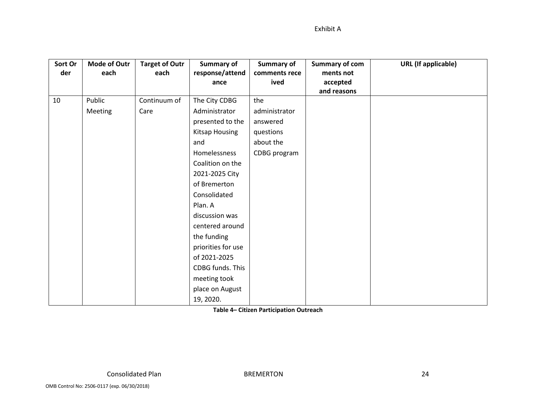| Sort Or<br>der | <b>Mode of Outr</b><br>each | <b>Target of Outr</b><br>each | <b>Summary of</b><br>response/attend | <b>Summary of</b><br>comments rece | <b>Summary of com</b><br>ments not | <b>URL</b> (If applicable) |
|----------------|-----------------------------|-------------------------------|--------------------------------------|------------------------------------|------------------------------------|----------------------------|
|                |                             |                               | ance                                 | ived                               | accepted                           |                            |
|                |                             |                               |                                      |                                    | and reasons                        |                            |
| 10             | Public                      | Continuum of                  | The City CDBG                        | the                                |                                    |                            |
|                | Meeting                     | Care                          | Administrator                        | administrator                      |                                    |                            |
|                |                             |                               | presented to the                     | answered                           |                                    |                            |
|                |                             |                               | Kitsap Housing                       | questions                          |                                    |                            |
|                |                             |                               | and                                  | about the                          |                                    |                            |
|                |                             |                               | Homelessness                         | CDBG program                       |                                    |                            |
|                |                             |                               | Coalition on the                     |                                    |                                    |                            |
|                |                             |                               | 2021-2025 City                       |                                    |                                    |                            |
|                |                             |                               | of Bremerton                         |                                    |                                    |                            |
|                |                             |                               | Consolidated                         |                                    |                                    |                            |
|                |                             |                               | Plan. A                              |                                    |                                    |                            |
|                |                             |                               | discussion was                       |                                    |                                    |                            |
|                |                             |                               | centered around                      |                                    |                                    |                            |
|                |                             |                               | the funding                          |                                    |                                    |                            |
|                |                             |                               | priorities for use                   |                                    |                                    |                            |
|                |                             |                               | of 2021-2025                         |                                    |                                    |                            |
|                |                             |                               | CDBG funds. This                     |                                    |                                    |                            |
|                |                             |                               | meeting took                         |                                    |                                    |                            |
|                |                             |                               | place on August                      |                                    |                                    |                            |
|                |                             |                               | 19, 2020.                            |                                    |                                    |                            |

**Table 4– Citizen Participation Outreach**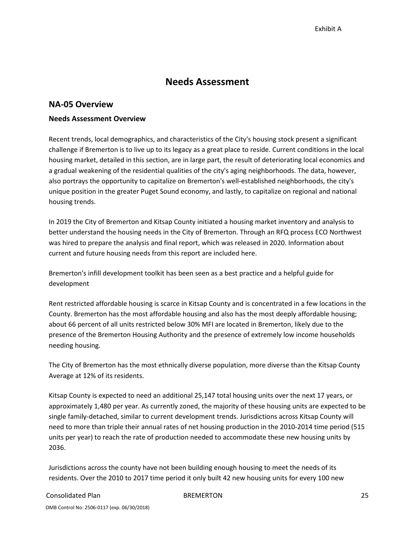# **Needs Assessment**

# **NA-05 Overview**

#### **Needs Assessment Overview**

Recent trends, local demographics, and characteristics of the City's housing stock present a significant challenge if Bremerton is to live up to its legacy as a great place to reside. Current conditions in the local housing market, detailed in this section, are in large part, the result of deteriorating local economics and a gradual weakening of the residential qualities of the city's aging neighborhoods. The data, however, also portrays the opportunity to capitalize on Bremerton's well-established neighborhoods, the city's unique position in the greater Puget Sound economy, and lastly, to capitalize on regional and national housing trends.

In 2019 the City of Bremerton and Kitsap County initiated a housing market inventory and analysis to better understand the housing needs in the City of Bremerton. Through an RFQ process ECO Northwest was hired to prepare the analysis and final report, which was released in 2020. Information about current and future housing needs from this report are included here.

Bremerton's infill development toolkit has been seen as a best practice and a helpful guide for development

Rent restricted affordable housing is scarce in Kitsap County and is concentrated in a few locations in the County. Bremerton has the most affordable housing and also has the most deeply affordable housing; about 66 percent of all units restricted below 30% MFI are located in Bremerton, likely due to the presence of the Bremerton Housing Authority and the presence of extremely low income households needing housing.

The City of Bremerton has the most ethnically diverse population, more diverse than the Kitsap County Average at 12% of its residents.

Kitsap County is expected to need an additional 25,147 total housing units over the next 17 years, or approximately 1,480 per year. As currently zoned, the majority of these housing units are expected to be single family-detached, similar to current development trends. Jurisdictions across Kitsap County will need to more than triple their annual rates of net housing production in the 2010-2014 time period (515 units per year) to reach the rate of production needed to accommodate these new housing units by 2036.

Jurisdictions across the county have not been building enough housing to meet the needs of its residents. Over the 2010 to 2017 time period it only built 42 new housing units for every 100 new

#### Consolidated Plan 25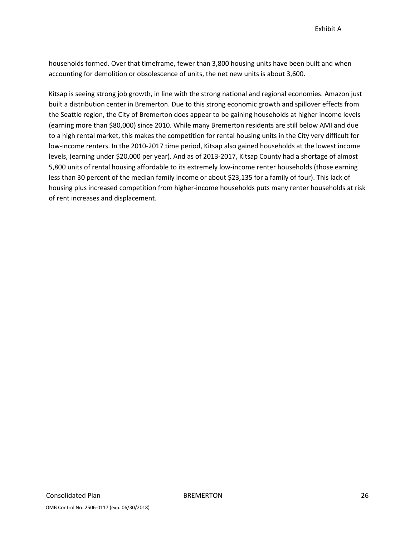households formed. Over that timeframe, fewer than 3,800 housing units have been built and when accounting for demolition or obsolescence of units, the net new units is about 3,600.

Kitsap is seeing strong job growth, in line with the strong national and regional economies. Amazon just built a distribution center in Bremerton. Due to this strong economic growth and spillover effects from the Seattle region, the City of Bremerton does appear to be gaining households at higher income levels (earning more than \$80,000) since 2010. While many Bremerton residents are still below AMI and due to a high rental market, this makes the competition for rental housing units in the City very difficult for low-income renters. In the 2010-2017 time period, Kitsap also gained households at the lowest income levels, (earning under \$20,000 per year). And as of 2013-2017, Kitsap County had a shortage of almost 5,800 units of rental housing affordable to its extremely low-income renter households (those earning less than 30 percent of the median family income or about \$23,135 for a family of four). This lack of housing plus increased competition from higher-income households puts many renter households at risk of rent increases and displacement.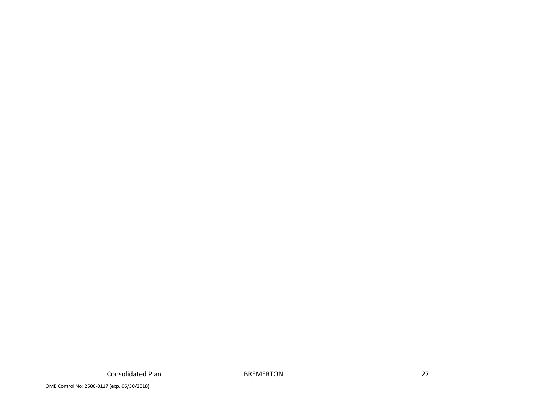Consolidated Plan 88 and 27 BREMERTON 27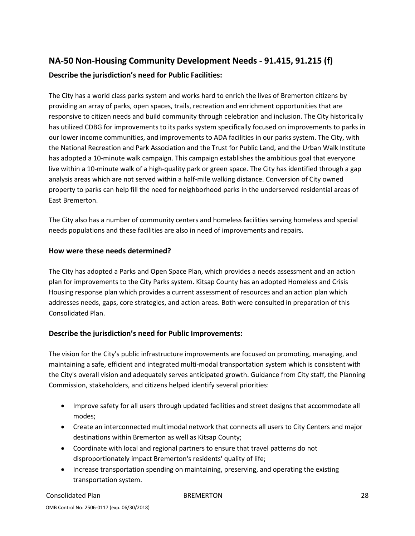# **NA-50 Non-Housing Community Development Needs - 91.415, 91.215 (f) Describe the jurisdiction's need for Public Facilities:**

The City has a world class parks system and works hard to enrich the lives of Bremerton citizens by providing an array of parks, open spaces, trails, recreation and enrichment opportunities that are responsive to citizen needs and build community through celebration and inclusion. The City historically has utilized CDBG for improvements to its parks system specifically focused on improvements to parks in our lower income communities, and improvements to ADA facilities in our parks system. The City, with the National Recreation and Park Association and the Trust for Public Land, and the Urban Walk Institute has adopted a 10-minute walk campaign. This campaign establishes the ambitious goal that everyone live within a 10-minute walk of a high-quality park or green space. The City has identified through a gap analysis areas which are not served within a half-mile walking distance. Conversion of City owned property to parks can help fill the need for neighborhood parks in the underserved residential areas of East Bremerton.

The City also has a number of community centers and homeless facilities serving homeless and special needs populations and these facilities are also in need of improvements and repairs.

# **How were these needs determined?**

The City has adopted a Parks and Open Space Plan, which provides a needs assessment and an action plan for improvements to the City Parks system. Kitsap County has an adopted Homeless and Crisis Housing response plan which provides a current assessment of resources and an action plan which addresses needs, gaps, core strategies, and action areas. Both were consulted in preparation of this Consolidated Plan.

# **Describe the jurisdiction's need for Public Improvements:**

The vision for the City's public infrastructure improvements are focused on promoting, managing, and maintaining a safe, efficient and integrated multi-modal transportation system which is consistent with the City's overall vision and adequately serves anticipated growth. Guidance from City staff, the Planning Commission, stakeholders, and citizens helped identify several priorities:

- Improve safety for all users through updated facilities and street designs that accommodate all modes;
- Create an interconnected multimodal network that connects all users to City Centers and major destinations within Bremerton as well as Kitsap County;
- Coordinate with local and regional partners to ensure that travel patterns do not disproportionately impact Bremerton's residents' quality of life;
- Increase transportation spending on maintaining, preserving, and operating the existing transportation system.

# Consolidated Plan 28 and 28 and 28 and 28 and 28 and 28 and 28 and 28 and 28 and 28 and 28 and 28 and 28 and 28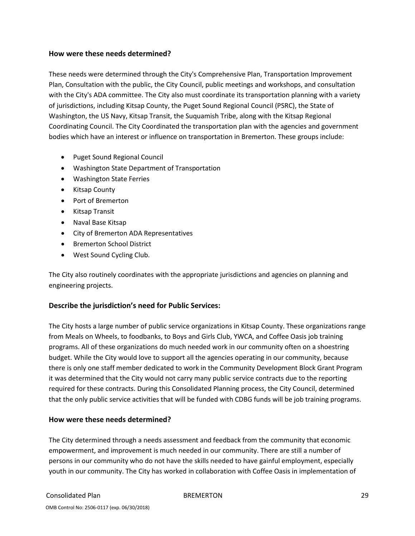### **How were these needs determined?**

These needs were determined through the City's Comprehensive Plan, Transportation Improvement Plan, Consultation with the public, the City Council, public meetings and workshops, and consultation with the City's ADA committee. The City also must coordinate its transportation planning with a variety of jurisdictions, including Kitsap County, the Puget Sound Regional Council (PSRC), the State of Washington, the US Navy, Kitsap Transit, the Suquamish Tribe, along with the Kitsap Regional Coordinating Council. The City Coordinated the transportation plan with the agencies and government bodies which have an interest or influence on transportation in Bremerton. These groups include:

- Puget Sound Regional Council
- Washington State Department of Transportation
- Washington State Ferries
- Kitsap County
- Port of Bremerton
- Kitsap Transit
- Naval Base Kitsap
- City of Bremerton ADA Representatives
- Bremerton School District
- West Sound Cycling Club.

The City also routinely coordinates with the appropriate jurisdictions and agencies on planning and engineering projects.

# **Describe the jurisdiction's need for Public Services:**

The City hosts a large number of public service organizations in Kitsap County. These organizations range from Meals on Wheels, to foodbanks, to Boys and Girls Club, YWCA, and Coffee Oasis job training programs. All of these organizations do much needed work in our community often on a shoestring budget. While the City would love to support all the agencies operating in our community, because there is only one staff member dedicated to work in the Community Development Block Grant Program it was determined that the City would not carry many public service contracts due to the reporting required for these contracts. During this Consolidated Planning process, the City Council, determined that the only public service activities that will be funded with CDBG funds will be job training programs.

#### **How were these needs determined?**

The City determined through a needs assessment and feedback from the community that economic empowerment, and improvement is much needed in our community. There are still a number of persons in our community who do not have the skills needed to have gainful employment, especially youth in our community. The City has worked in collaboration with Coffee Oasis in implementation of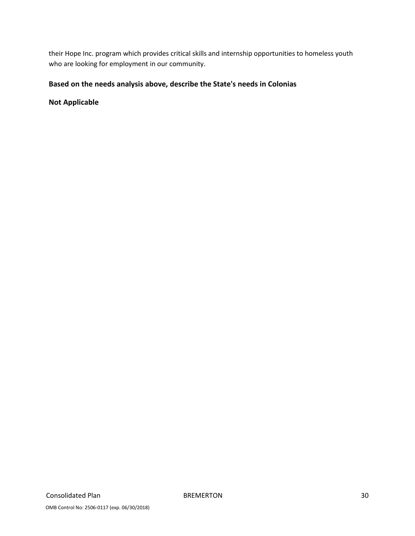their Hope Inc. program which provides critical skills and internship opportunities to homeless youth who are looking for employment in our community.

# **Based on the needs analysis above, describe the State's needs in Colonias**

**Not Applicable**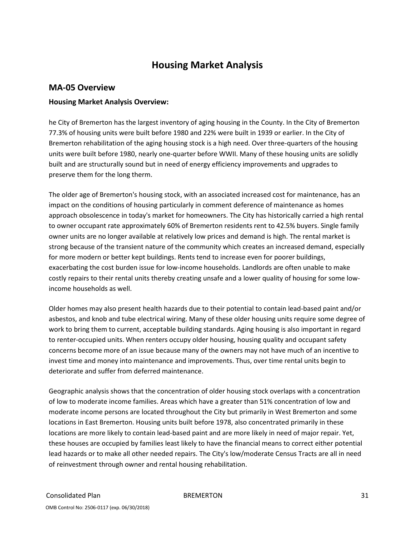# **Housing Market Analysis**

# **MA-05 Overview**

### **Housing Market Analysis Overview:**

he City of Bremerton has the largest inventory of aging housing in the County. In the City of Bremerton 77.3% of housing units were built before 1980 and 22% were built in 1939 or earlier. In the City of Bremerton rehabilitation of the aging housing stock is a high need. Over three-quarters of the housing units were built before 1980, nearly one-quarter before WWII. Many of these housing units are solidly built and are structurally sound but in need of energy efficiency improvements and upgrades to preserve them for the long therm.

The older age of Bremerton's housing stock, with an associated increased cost for maintenance, has an impact on the conditions of housing particularly in comment deference of maintenance as homes approach obsolescence in today's market for homeowners. The City has historically carried a high rental to owner occupant rate approximately 60% of Bremerton residents rent to 42.5% buyers. Single family owner units are no longer available at relatively low prices and demand is high. The rental market is strong because of the transient nature of the community which creates an increased demand, especially for more modern or better kept buildings. Rents tend to increase even for poorer buildings, exacerbating the cost burden issue for low-income households. Landlords are often unable to make costly repairs to their rental units thereby creating unsafe and a lower quality of housing for some lowincome households as well.

Older homes may also present health hazards due to their potential to contain lead-based paint and/or asbestos, and knob and tube electrical wiring. Many of these older housing units require some degree of work to bring them to current, acceptable building standards. Aging housing is also important in regard to renter-occupied units. When renters occupy older housing, housing quality and occupant safety concerns become more of an issue because many of the owners may not have much of an incentive to invest time and money into maintenance and improvements. Thus, over time rental units begin to deteriorate and suffer from deferred maintenance.

Geographic analysis shows that the concentration of older housing stock overlaps with a concentration of low to moderate income families. Areas which have a greater than 51% concentration of low and moderate income persons are located throughout the City but primarily in West Bremerton and some locations in East Bremerton. Housing units built before 1978, also concentrated primarily in these locations are more likely to contain lead-based paint and are more likely in need of major repair. Yet, these houses are occupied by families least likely to have the financial means to correct either potential lead hazards or to make all other needed repairs. The City's low/moderate Census Tracts are all in need of reinvestment through owner and rental housing rehabilitation.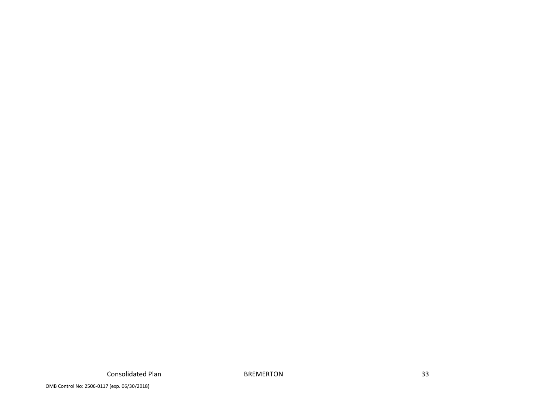Consolidated Plan BREMERTON 33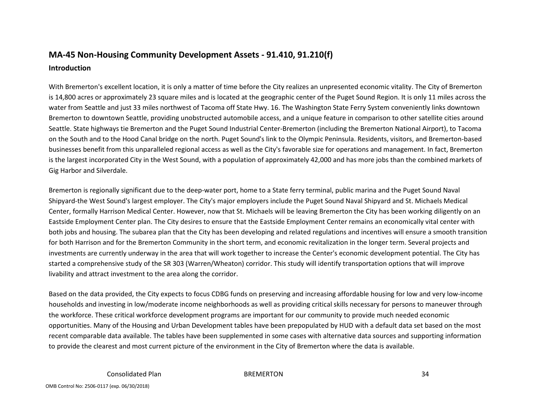# **MA-45 Non-Housing Community Development Assets - 91.410, 91.210(f) Introduction**

With Bremerton's excellent location, it is only a matter of time before the City realizes an unpresented economic vitality. The City of Bremerton is 14,800 acres or approximately 23 square miles and is located at the geographic center of the Puget Sound Region. It is only 11 miles across the water from Seattle and just 33 miles northwest of Tacoma off State Hwy. 16. The Washington State Ferry System conveniently links downtown Bremerton to downtown Seattle, providing unobstructed automobile access, and a unique feature in comparison to other satellite cities around Seattle. State highways tie Bremerton and the Puget Sound Industrial Center-Bremerton (including the Bremerton National Airport), to Tacoma on the South and to the Hood Canal bridge on the north. Puget Sound's link to the Olympic Peninsula. Residents, visitors, and Bremerton-based businesses benefit from this unparalleled regional access as well as the City's favorable size for operations and management. In fact, Bremerton is the largest incorporated City in the West Sound, with a population of approximately 42,000 and has more jobs than the combined markets of Gig Harbor and Silverdale.

Bremerton is regionally significant due to the deep-water port, home to a State ferry terminal, public marina and the Puget Sound Naval Shipyard-the West Sound's largest employer. The City's major employers include the Puget Sound Naval Shipyard and St. Michaels Medical Center, formally Harrison Medical Center. However, now that St. Michaels will be leaving Bremerton the City has been working diligently on an Eastside Employment Center plan. The City desires to ensure that the Eastside Employment Center remains an economically vital center with both jobs and housing. The subarea plan that the City has been developing and related regulations and incentives will ensure a smooth transition for both Harrison and for the Bremerton Community in the short term, and economic revitalization in the longer term. Several projects and investments are currently underway in the area that will work together to increase the Center's economic development potential. The City has started a comprehensive study of the SR 303 (Warren/Wheaton) corridor. This study will identify transportation options that will improve livability and attract investment to the area along the corridor.

Based on the data provided, the City expects to focus CDBG funds on preserving and increasing affordable housing for low and very low-income households and investing in low/moderate income neighborhoods as well as providing critical skills necessary for persons to maneuver through the workforce. These critical workforce development programs are important for our community to provide much needed economic opportunities. Many of the Housing and Urban Development tables have been prepopulated by HUD with a default data set based on the most recent comparable data available. The tables have been supplemented in some cases with alternative data sources and supporting information to provide the clearest and most current picture of the environment in the City of Bremerton where the data is available.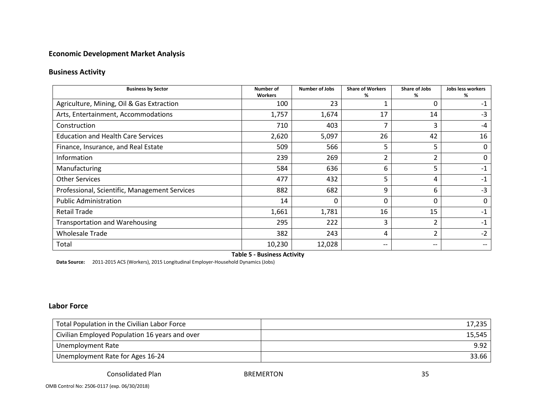# **Economic Development Market Analysis**

# **Business Activity**

| <b>Business by Sector</b>                     | Number of<br><b>Workers</b> | <b>Number of Jobs</b> | <b>Share of Workers</b><br>% | <b>Share of Jobs</b><br>%             | Jobs less workers<br>% |
|-----------------------------------------------|-----------------------------|-----------------------|------------------------------|---------------------------------------|------------------------|
| Agriculture, Mining, Oil & Gas Extraction     | 100                         | 23                    |                              |                                       | $-1$                   |
| Arts, Entertainment, Accommodations           | 1,757                       | 1,674                 | 17                           | 14                                    | $-3$                   |
| Construction                                  | 710                         | 403                   |                              | 3                                     | $-4$                   |
| <b>Education and Health Care Services</b>     | 2,620                       | 5,097                 | 26                           | 42                                    | 16                     |
| Finance, Insurance, and Real Estate           | 509                         | 566                   | 5                            | 5                                     | $\Omega$               |
| Information                                   | 239                         | 269                   |                              |                                       | 0                      |
| Manufacturing                                 | 584                         | 636                   | 6                            | 5                                     | $-1$                   |
| <b>Other Services</b>                         | 477                         | 432                   |                              | 4                                     | $-1$                   |
| Professional, Scientific, Management Services | 882                         | 682                   | 9                            | 6                                     | $-3$                   |
| <b>Public Administration</b>                  | 14                          | $\Omega$              |                              | 0                                     | $\mathbf{0}$           |
| <b>Retail Trade</b>                           | 1,661                       | 1,781                 | 16                           | 15                                    | $-1$                   |
| <b>Transportation and Warehousing</b>         | 295                         | 222                   | 3                            | $\overline{2}$                        | $-1$                   |
| <b>Wholesale Trade</b>                        | 382                         | 243                   | 4                            | 2                                     | $-2$                   |
| Total                                         | 10,230                      | 12,028                | $-$                          | $\hspace{0.05cm}$ – $\hspace{0.05cm}$ |                        |

#### **Table 5 - Business Activity**

**Data Source:** 2011-2015 ACS (Workers), 2015 Longitudinal Employer-Household Dynamics (Jobs)

#### **Labor Force**

| Total Population in the Civilian Labor Force   | 17,235 |
|------------------------------------------------|--------|
| Civilian Employed Population 16 years and over | 15,545 |
| Unemployment Rate                              | 9.92   |
| Unemployment Rate for Ages 16-24               | 33.66  |

Consolidated Plan BREMERTON 35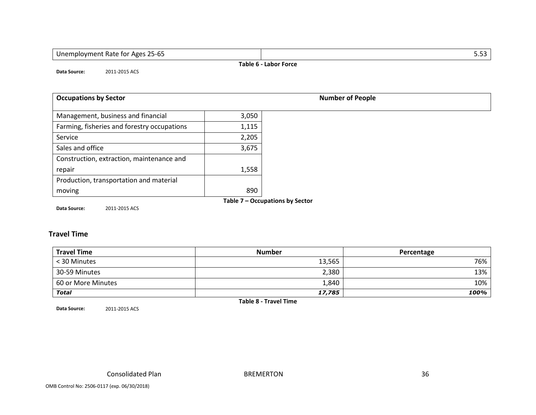| $\sim$ $\sim$<br>-<br>ਤ for Ages<br>Unem<br>כס-כ∠<br>วแ<br>kate<br>16<br>. YV T |  |  |  |  |
|---------------------------------------------------------------------------------|--|--|--|--|
| $-11$ $-1$ $-1$ $-1$                                                            |  |  |  |  |

**Data Source:** 2011-2015 ACS

| Table 6 - Labor Force |
|-----------------------|
|-----------------------|

| <b>Occupations by Sector</b>                |                                 | <b>Number of People</b> |
|---------------------------------------------|---------------------------------|-------------------------|
| Management, business and financial          | 3,050                           |                         |
| Farming, fisheries and forestry occupations | 1,115                           |                         |
| Service                                     | 2,205                           |                         |
| Sales and office                            | 3,675                           |                         |
| Construction, extraction, maintenance and   |                                 |                         |
| repair                                      | 1,558                           |                         |
| Production, transportation and material     |                                 |                         |
| moving                                      | 890                             |                         |
|                                             | Table 7 - Occupations by Sector |                         |

### **Travel Time**

| <b>Travel Time</b>           | <b>Number</b> | Percentage |  |  |
|------------------------------|---------------|------------|--|--|
| < 30 Minutes                 | 13,565        | 76%        |  |  |
| 30-59 Minutes                | 2,380         | 13%        |  |  |
| 60 or More Minutes           | 1,840         | 10%        |  |  |
| <b>Total</b>                 | 17,785        | 100%       |  |  |
| <b>Table 8 - Travel Time</b> |               |            |  |  |

**Data Source:** 2011-2015 ACS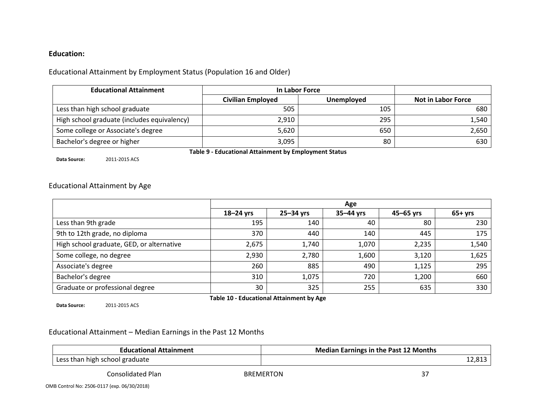## **Education:**

## Educational Attainment by Employment Status (Population 16 and Older)

| <b>Educational Attainment</b>               | In Labor Force           |                   |                           |
|---------------------------------------------|--------------------------|-------------------|---------------------------|
|                                             | <b>Civilian Employed</b> | <b>Unemployed</b> | <b>Not in Labor Force</b> |
| Less than high school graduate              | 505                      | 105               | 680                       |
| High school graduate (includes equivalency) | 2,910                    | 295               | 1.540                     |
| Some college or Associate's degree          | 5,620                    | 650               | 2,650                     |
| Bachelor's degree or higher                 | 3,095                    | 80                | 630                       |

**Data Source:** 2011-2015 ACS

**Table 9 - Educational Attainment by Employment Status**

#### Educational Attainment by Age

|                                           | Age       |           |           |           |          |  |  |  |
|-------------------------------------------|-----------|-----------|-----------|-----------|----------|--|--|--|
|                                           | 18-24 yrs | 25-34 yrs | 35-44 yrs | 45-65 yrs | $65+yrs$ |  |  |  |
| Less than 9th grade                       | 195       | 140       | 40        | 80        | 230      |  |  |  |
| 9th to 12th grade, no diploma             | 370       | 440       | 140       | 445       | 175      |  |  |  |
| High school graduate, GED, or alternative | 2,675     | 1,740     | 1,070     | 2,235     | 1,540    |  |  |  |
| Some college, no degree                   | 2,930     | 2,780     | 1,600     | 3,120     | 1,625    |  |  |  |
| Associate's degree                        | 260       | 885       | 490       | 1,125     | 295      |  |  |  |
| Bachelor's degree                         | 310       | 1,075     | 720       | 1,200     | 660      |  |  |  |
| Graduate or professional degree           | 30        | 325       | 255       | 635       | 330      |  |  |  |

**Data Source:** 2011-2015 ACS

**Table 10 - Educational Attainment by Age**

#### Educational Attainment – Median Earnings in the Past 12 Months

| <b>Educational Attainment</b>  | <b>Median Earnings in the Past 12 Months</b> |
|--------------------------------|----------------------------------------------|
| Less than high school graduate | 12,813                                       |
|                                |                                              |

Consolidated Plan 87 and BREMERTON 37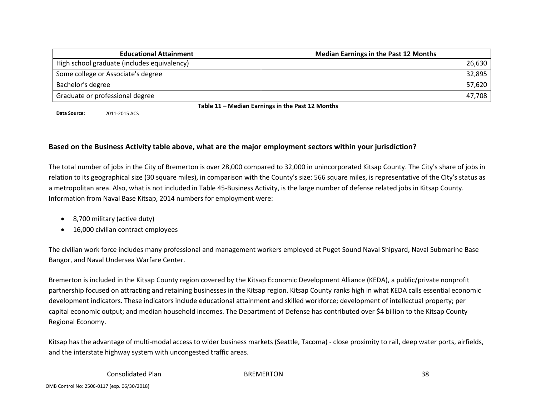| <b>Educational Attainment</b>               | <b>Median Earnings in the Past 12 Months</b> |
|---------------------------------------------|----------------------------------------------|
| High school graduate (includes equivalency) | 26,630                                       |
| Some college or Associate's degree          | 32,895                                       |
| Bachelor's degree                           | 57,620                                       |
| Graduate or professional degree             | 47,708                                       |

**Table 11 – Median Earnings in the Past 12 Months**

**Data Source:** 2011-2015 ACS

#### **Based on the Business Activity table above, what are the major employment sectors within your jurisdiction?**

The total number of jobs in the City of Bremerton is over 28,000 compared to 32,000 in unincorporated Kitsap County. The City's share of jobs in relation to its geographical size (30 square miles), in comparison with the County's size: 566 square miles, is representative of the CIty's status as a metropolitan area. Also, what is not included in Table 45-Business Activity, is the large number of defense related jobs in Kitsap County. Information from Naval Base Kitsap, 2014 numbers for employment were:

- 8,700 military (active duty)
- 16,000 civilian contract employees

The civilian work force includes many professional and management workers employed at Puget Sound Naval Shipyard, Naval Submarine Base Bangor, and Naval Undersea Warfare Center.

Bremerton is included in the Kitsap County region covered by the Kitsap Economic Development Alliance (KEDA), a public/private nonprofit partnership focused on attracting and retaining businesses in the Kitsap region. Kitsap County ranks high in what KEDA calls essential economic development indicators. These indicators include educational attainment and skilled workforce; development of intellectual property; per capital economic output; and median household incomes. The Department of Defense has contributed over \$4 billion to the Kitsap County Regional Economy.

Kitsap has the advantage of multi-modal access to wider business markets (Seattle, Tacoma) - close proximity to rail, deep water ports, airfields, and the interstate highway system with uncongested traffic areas.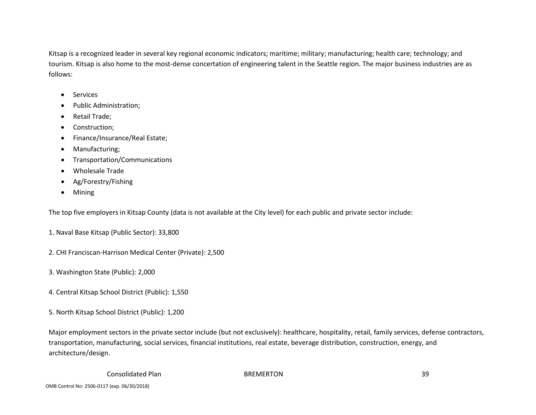Kitsap is a recognized leader in several key regional economic indicators; maritime; military; manufacturing; health care; technology; and tourism. Kitsap is also home to the most-dense concertation of engineering talent in the Seattle region. The major business industries are as follows:

- Services
- Public Administration;
- Retail Trade;
- Construction;
- Finance/Insurance/Real Estate;
- Manufacturing;
- Transportation/Communications
- Wholesale Trade
- Ag/Forestry/Fishing
- Mining

The top five employers in Kitsap County (data is not available at the City level) for each public and private sector include:

- 1. Naval Base Kitsap (Public Sector): 33,800
- 2. CHI Franciscan-Harrison Medical Center (Private): 2,500
- 3. Washington State (Public): 2,000
- 4. Central Kitsap School District (Public): 1,550
- 5. North Kitsap School District (Public): 1,200

Major employment sectors in the private sector include (but not exclusively): healthcare, hospitality, retail, family services, defense contractors, transportation, manufacturing, social services, financial institutions, real estate, beverage distribution, construction, energy, and architecture/design.

| <b>Consolidated Plan</b> | <b>BREMERTON</b> | 39 |
|--------------------------|------------------|----|
|                          |                  |    |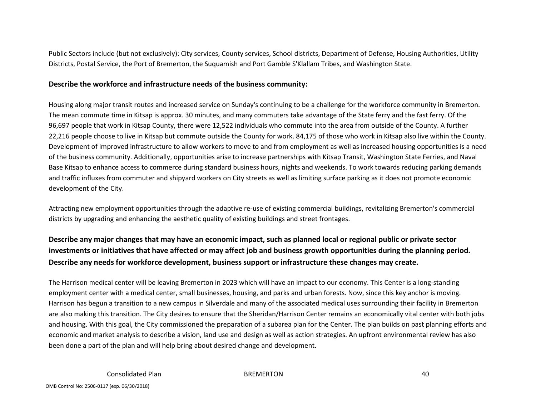Public Sectors include (but not exclusively): City services, County services, School districts, Department of Defense, Housing Authorities, Utility Districts, Postal Service, the Port of Bremerton, the Suquamish and Port Gamble S'Klallam Tribes, and Washington State.

#### **Describe the workforce and infrastructure needs of the business community:**

Housing along major transit routes and increased service on Sunday's continuing to be a challenge for the workforce community in Bremerton. The mean commute time in Kitsap is approx. 30 minutes, and many commuters take advantage of the State ferry and the fast ferry. Of the 96,697 people that work in Kitsap County, there were 12,522 individuals who commute into the area from outside of the County. A further 22,216 people choose to live in Kitsap but commute outside the County for work. 84,175 of those who work in Kitsap also live within the County. Development of improved infrastructure to allow workers to move to and from employment as well as increased housing opportunities is a need of the business community. Additionally, opportunities arise to increase partnerships with Kitsap Transit, Washington State Ferries, and Naval Base Kitsap to enhance access to commerce during standard business hours, nights and weekends. To work towards reducing parking demands and traffic influxes from commuter and shipyard workers on City streets as well as limiting surface parking as it does not promote economic development of the City.

Attracting new employment opportunities through the adaptive re-use of existing commercial buildings, revitalizing Bremerton's commercial districts by upgrading and enhancing the aesthetic quality of existing buildings and street frontages.

# **Describe any major changes that may have an economic impact, such as planned local or regional public or private sector investments or initiatives that have affected or may affect job and business growth opportunities during the planning period. Describe any needs for workforce development, business support or infrastructure these changes may create.**

The Harrison medical center will be leaving Bremerton in 2023 which will have an impact to our economy. This Center is a long-standing employment center with a medical center, small businesses, housing, and parks and urban forests. Now, since this key anchor is moving. Harrison has begun a transition to a new campus in Silverdale and many of the associated medical uses surrounding their facility in Bremerton are also making this transition. The City desires to ensure that the Sheridan/Harrison Center remains an economically vital center with both jobs and housing. With this goal, the City commissioned the preparation of a subarea plan for the Center. The plan builds on past planning efforts and economic and market analysis to describe a vision, land use and design as well as action strategies. An upfront environmental review has also been done a part of the plan and will help bring about desired change and development.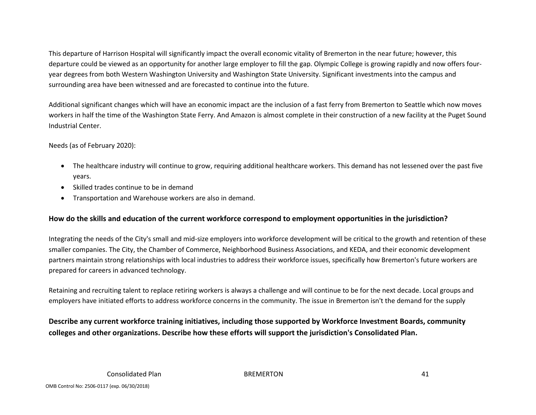This departure of Harrison Hospital will significantly impact the overall economic vitality of Bremerton in the near future; however, this departure could be viewed as an opportunity for another large employer to fill the gap. Olympic College is growing rapidly and now offers fouryear degrees from both Western Washington University and Washington State University. Significant investments into the campus and surrounding area have been witnessed and are forecasted to continue into the future.

Additional significant changes which will have an economic impact are the inclusion of a fast ferry from Bremerton to Seattle which now moves workers in half the time of the Washington State Ferry. And Amazon is almost complete in their construction of a new facility at the Puget Sound Industrial Center.

Needs (as of February 2020):

- The healthcare industry will continue to grow, requiring additional healthcare workers. This demand has not lessened over the past five years.
- Skilled trades continue to be in demand
- Transportation and Warehouse workers are also in demand.

## **How do the skills and education of the current workforce correspond to employment opportunities in the jurisdiction?**

Integrating the needs of the City's small and mid-size employers into workforce development will be critical to the growth and retention of these smaller companies. The City, the Chamber of Commerce, Neighborhood Business Associations, and KEDA, and their economic development partners maintain strong relationships with local industries to address their workforce issues, specifically how Bremerton's future workers are prepared for careers in advanced technology.

Retaining and recruiting talent to replace retiring workers is always a challenge and will continue to be for the next decade. Local groups and employers have initiated efforts to address workforce concerns in the community. The issue in Bremerton isn't the demand for the supply

# **Describe any current workforce training initiatives, including those supported by Workforce Investment Boards, community colleges and other organizations. Describe how these efforts will support the jurisdiction's Consolidated Plan.**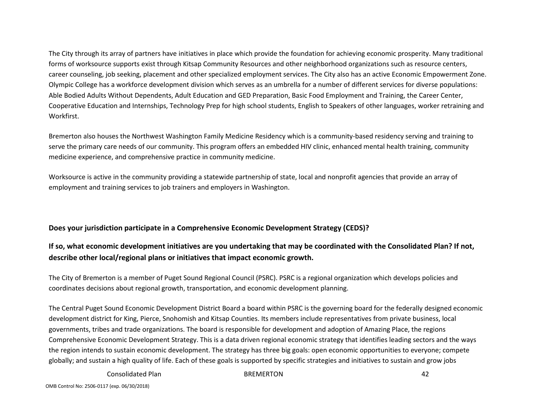The City through its array of partners have initiatives in place which provide the foundation for achieving economic prosperity. Many traditional forms of worksource supports exist through Kitsap Community Resources and other neighborhood organizations such as resource centers, career counseling, job seeking, placement and other specialized employment services. The City also has an active Economic Empowerment Zone. Olympic College has a workforce development division which serves as an umbrella for a number of different services for diverse populations: Able Bodied Adults Without Dependents, Adult Education and GED Preparation, Basic Food Employment and Training, the Career Center, Cooperative Education and Internships, Technology Prep for high school students, English to Speakers of other languages, worker retraining and Workfirst.

Bremerton also houses the Northwest Washington Family Medicine Residency which is a community-based residency serving and training to serve the primary care needs of our community. This program offers an embedded HIV clinic, enhanced mental health training, community medicine experience, and comprehensive practice in community medicine.

Worksource is active in the community providing a statewide partnership of state, local and nonprofit agencies that provide an array of employment and training services to job trainers and employers in Washington.

## **Does your jurisdiction participate in a Comprehensive Economic Development Strategy (CEDS)?**

# **If so, what economic development initiatives are you undertaking that may be coordinated with the Consolidated Plan? If not, describe other local/regional plans or initiatives that impact economic growth.**

The City of Bremerton is a member of Puget Sound Regional Council (PSRC). PSRC is a regional organization which develops policies and coordinates decisions about regional growth, transportation, and economic development planning.

The Central Puget Sound Economic Development District Board a board within PSRC is the governing board for the federally designed economic development district for King, Pierce, Snohomish and Kitsap Counties. Its members include representatives from private business, local governments, tribes and trade organizations. The board is responsible for development and adoption of Amazing Place, the regions Comprehensive Economic Development Strategy. This is a data driven regional economic strategy that identifies leading sectors and the ways the region intends to sustain economic development. The strategy has three big goals: open economic opportunities to everyone; compete globally; and sustain a high quality of life. Each of these goals is supported by specific strategies and initiatives to sustain and grow jobs

Consolidated Plan 82 and 82 and 82 and 88 and 88 and 88 and 88 and 88 and 88 and 88 and 88 and 88 and 88 and 8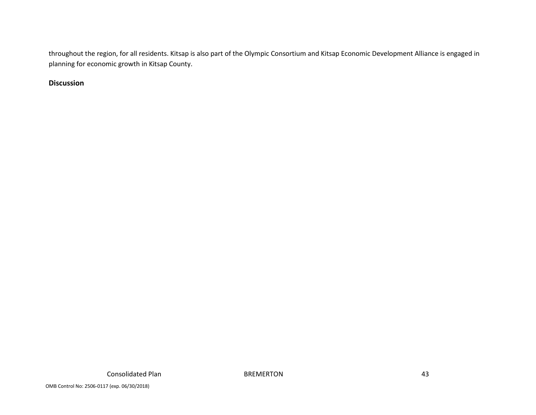throughout the region, for all residents. Kitsap is also part of the Olympic Consortium and Kitsap Economic Development Alliance is engaged in planning for economic growth in Kitsap County.

**Discussion**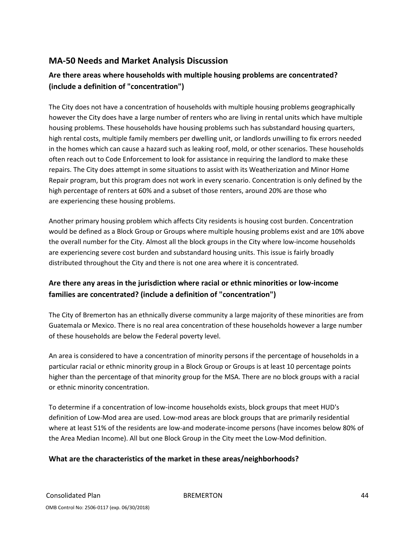# **MA-50 Needs and Market Analysis Discussion**

# **Are there areas where households with multiple housing problems are concentrated? (include a definition of "concentration")**

The City does not have a concentration of households with multiple housing problems geographically however the City does have a large number of renters who are living in rental units which have multiple housing problems. These households have housing problems such has substandard housing quarters, high rental costs, multiple family members per dwelling unit, or landlords unwilling to fix errors needed in the homes which can cause a hazard such as leaking roof, mold, or other scenarios. These households often reach out to Code Enforcement to look for assistance in requiring the landlord to make these repairs. The City does attempt in some situations to assist with its Weatherization and Minor Home Repair program, but this program does not work in every scenario. Concentration is only defined by the high percentage of renters at 60% and a subset of those renters, around 20% are those who are experiencing these housing problems.

Another primary housing problem which affects City residents is housing cost burden. Concentration would be defined as a Block Group or Groups where multiple housing problems exist and are 10% above the overall number for the City. Almost all the block groups in the City where low-income households are experiencing severe cost burden and substandard housing units. This issue is fairly broadly distributed throughout the City and there is not one area where it is concentrated.

# **Are there any areas in the jurisdiction where racial or ethnic minorities or low-income families are concentrated? (include a definition of "concentration")**

The City of Bremerton has an ethnically diverse community a large majority of these minorities are from Guatemala or Mexico. There is no real area concentration of these households however a large number of these households are below the Federal poverty level.

An area is considered to have a concentration of minority persons if the percentage of households in a particular racial or ethnic minority group in a Block Group or Groups is at least 10 percentage points higher than the percentage of that minority group for the MSA. There are no block groups with a racial or ethnic minority concentration.

To determine if a concentration of low-income households exists, block groups that meet HUD's definition of Low-Mod area are used. Low-mod areas are block groups that are primarily residential where at least 51% of the residents are low-and moderate-income persons (have incomes below 80% of the Area Median Income). All but one Block Group in the City meet the Low-Mod definition.

## **What are the characteristics of the market in these areas/neighborhoods?**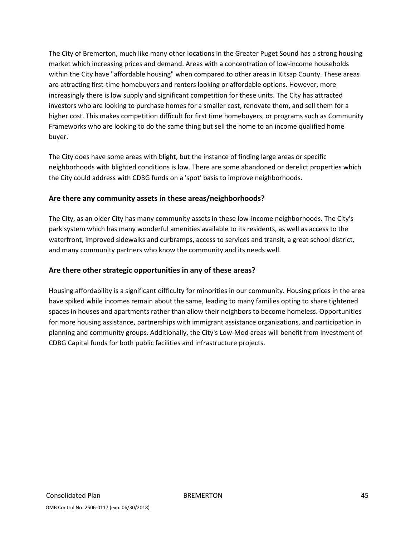The City of Bremerton, much like many other locations in the Greater Puget Sound has a strong housing market which increasing prices and demand. Areas with a concentration of low-income households within the City have "affordable housing" when compared to other areas in Kitsap County. These areas are attracting first-time homebuyers and renters looking or affordable options. However, more increasingly there is low supply and significant competition for these units. The City has attracted investors who are looking to purchase homes for a smaller cost, renovate them, and sell them for a higher cost. This makes competition difficult for first time homebuyers, or programs such as Community Frameworks who are looking to do the same thing but sell the home to an income qualified home buyer.

The City does have some areas with blight, but the instance of finding large areas or specific neighborhoods with blighted conditions is low. There are some abandoned or derelict properties which the City could address with CDBG funds on a 'spot' basis to improve neighborhoods.

## **Are there any community assets in these areas/neighborhoods?**

The City, as an older City has many community assets in these low-income neighborhoods. The City's park system which has many wonderful amenities available to its residents, as well as access to the waterfront, improved sidewalks and curbramps, access to services and transit, a great school district, and many community partners who know the community and its needs well.

## **Are there other strategic opportunities in any of these areas?**

Housing affordability is a significant difficulty for minorities in our community. Housing prices in the area have spiked while incomes remain about the same, leading to many families opting to share tightened spaces in houses and apartments rather than allow their neighbors to become homeless. Opportunities for more housing assistance, partnerships with immigrant assistance organizations, and participation in planning and community groups. Additionally, the City's Low-Mod areas will benefit from investment of CDBG Capital funds for both public facilities and infrastructure projects.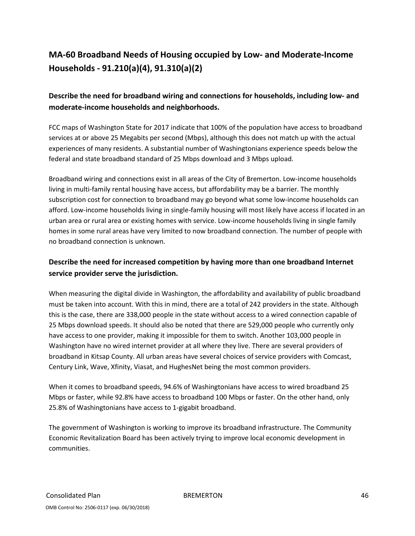# **MA-60 Broadband Needs of Housing occupied by Low- and Moderate-Income Households - 91.210(a)(4), 91.310(a)(2)**

# **Describe the need for broadband wiring and connections for households, including low- and moderate-income households and neighborhoods.**

FCC maps of Washington State for 2017 indicate that 100% of the population have access to broadband services at or above 25 Megabits per second (Mbps), although this does not match up with the actual experiences of many residents. A substantial number of Washingtonians experience speeds below the federal and state broadband standard of 25 Mbps download and 3 Mbps upload.

Broadband wiring and connections exist in all areas of the City of Bremerton. Low-income households living in multi-family rental housing have access, but affordability may be a barrier. The monthly subscription cost for connection to broadband may go beyond what some low-income households can afford. Low-income households living in single-family housing will most likely have access if located in an urban area or rural area or existing homes with service. Low-income households living in single family homes in some rural areas have very limited to now broadband connection. The number of people with no broadband connection is unknown.

# **Describe the need for increased competition by having more than one broadband Internet service provider serve the jurisdiction.**

When measuring the digital divide in Washington, the affordability and availability of public broadband must be taken into account. With this in mind, there are a total of 242 providers in the state. Although this is the case, there are 338,000 people in the state without access to a wired connection capable of 25 Mbps download speeds. It should also be noted that there are 529,000 people who currently only have access to one provider, making it impossible for them to switch. Another 103,000 people in Washington have no wired internet provider at all where they live. There are several providers of broadband in Kitsap County. All urban areas have several choices of service providers with Comcast, Century Link, Wave, Xfinity, Viasat, and HughesNet being the most common providers.

When it comes to broadband speeds, 94.6% of Washingtonians have access to wired broadband 25 Mbps or faster, while 92.8% have access to broadband 100 Mbps or faster. On the other hand, only 25.8% of Washingtonians have access to 1-gigabit broadband.

The government of Washington is working to improve its broadband infrastructure. The Community Economic Revitalization Board has been actively trying to improve local economic development in communities.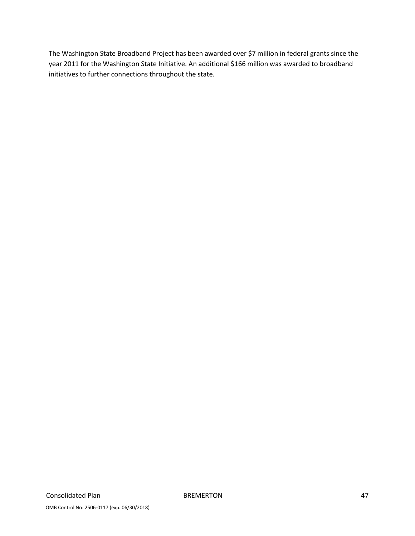The Washington State Broadband Project has been awarded over \$7 million in federal grants since the year 2011 for the Washington State Initiative. An additional \$166 million was awarded to broadband initiatives to further connections throughout the state.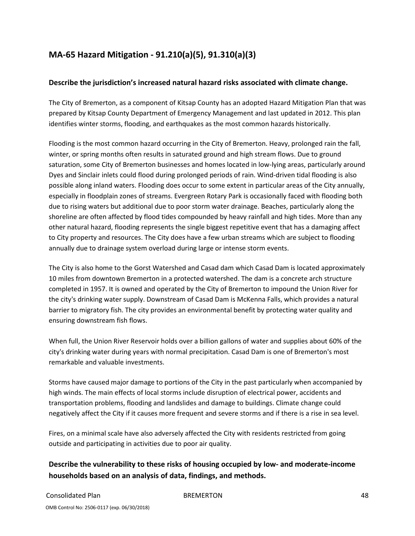# **MA-65 Hazard Mitigation - 91.210(a)(5), 91.310(a)(3)**

## **Describe the jurisdiction's increased natural hazard risks associated with climate change.**

The City of Bremerton, as a component of Kitsap County has an adopted Hazard Mitigation Plan that was prepared by Kitsap County Department of Emergency Management and last updated in 2012. This plan identifies winter storms, flooding, and earthquakes as the most common hazards historically.

Flooding is the most common hazard occurring in the City of Bremerton. Heavy, prolonged rain the fall, winter, or spring months often results in saturated ground and high stream flows. Due to ground saturation, some City of Bremerton businesses and homes located in low-lying areas, particularly around Dyes and Sinclair inlets could flood during prolonged periods of rain. Wind-driven tidal flooding is also possible along inland waters. Flooding does occur to some extent in particular areas of the City annually, especially in floodplain zones of streams. Evergreen Rotary Park is occasionally faced with flooding both due to rising waters but additional due to poor storm water drainage. Beaches, particularly along the shoreline are often affected by flood tides compounded by heavy rainfall and high tides. More than any other natural hazard, flooding represents the single biggest repetitive event that has a damaging affect to City property and resources. The City does have a few urban streams which are subject to flooding annually due to drainage system overload during large or intense storm events.

The City is also home to the Gorst Watershed and Casad dam which Casad Dam is located approximately 10 miles from downtown Bremerton in a protected watershed. The dam is a concrete arch structure completed in 1957. It is owned and operated by the City of Bremerton to impound the Union River for the city's drinking water supply. Downstream of Casad Dam is McKenna Falls, which provides a natural barrier to migratory fish. The city provides an environmental benefit by protecting water quality and ensuring downstream fish flows.

When full, the Union River Reservoir holds over a billion gallons of water and supplies about 60% of the city's drinking water during years with normal precipitation. Casad Dam is one of Bremerton's most remarkable and valuable investments.

Storms have caused major damage to portions of the City in the past particularly when accompanied by high winds. The main effects of local storms include disruption of electrical power, accidents and transportation problems, flooding and landslides and damage to buildings. Climate change could negatively affect the City if it causes more frequent and severe storms and if there is a rise in sea level.

Fires, on a minimal scale have also adversely affected the City with residents restricted from going outside and participating in activities due to poor air quality.

## **Describe the vulnerability to these risks of housing occupied by low- and moderate-income households based on an analysis of data, findings, and methods.**

Consolidated Plan and the Consolidated Plan and the BREMERTON 48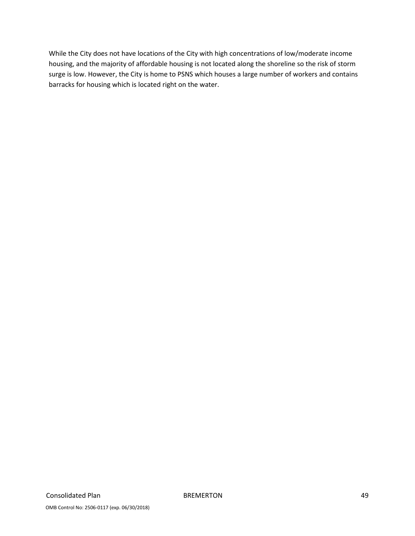While the City does not have locations of the City with high concentrations of low/moderate income housing, and the majority of affordable housing is not located along the shoreline so the risk of storm surge is low. However, the City is home to PSNS which houses a large number of workers and contains barracks for housing which is located right on the water.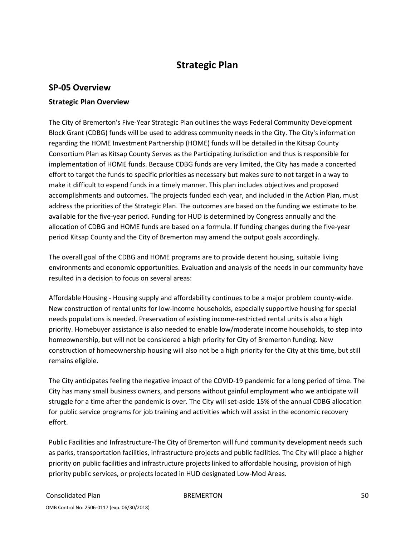# **Strategic Plan**

## **SP-05 Overview**

## **Strategic Plan Overview**

The City of Bremerton's Five-Year Strategic Plan outlines the ways Federal Community Development Block Grant (CDBG) funds will be used to address community needs in the City. The City's information regarding the HOME Investment Partnership (HOME) funds will be detailed in the Kitsap County Consortium Plan as Kitsap County Serves as the Participating Jurisdiction and thus is responsible for implementation of HOME funds. Because CDBG funds are very limited, the City has made a concerted effort to target the funds to specific priorities as necessary but makes sure to not target in a way to make it difficult to expend funds in a timely manner. This plan includes objectives and proposed accomplishments and outcomes. The projects funded each year, and included in the Action Plan, must address the priorities of the Strategic Plan. The outcomes are based on the funding we estimate to be available for the five-year period. Funding for HUD is determined by Congress annually and the allocation of CDBG and HOME funds are based on a formula. If funding changes during the five-year period Kitsap County and the City of Bremerton may amend the output goals accordingly.

The overall goal of the CDBG and HOME programs are to provide decent housing, suitable living environments and economic opportunities. Evaluation and analysis of the needs in our community have resulted in a decision to focus on several areas:

Affordable Housing - Housing supply and affordability continues to be a major problem county-wide. New construction of rental units for low-income households, especially supportive housing for special needs populations is needed. Preservation of existing income-restricted rental units is also a high priority. Homebuyer assistance is also needed to enable low/moderate income households, to step into homeownership, but will not be considered a high priority for City of Bremerton funding. New construction of homeownership housing will also not be a high priority for the City at this time, but still remains eligible.

The City anticipates feeling the negative impact of the COVID-19 pandemic for a long period of time. The City has many small business owners, and persons without gainful employment who we anticipate will struggle for a time after the pandemic is over. The City will set-aside 15% of the annual CDBG allocation for public service programs for job training and activities which will assist in the economic recovery effort.

Public Facilities and Infrastructure-The City of Bremerton will fund community development needs such as parks, transportation facilities, infrastructure projects and public facilities. The City will place a higher priority on public facilities and infrastructure projects linked to affordable housing, provision of high priority public services, or projects located in HUD designated Low-Mod Areas.

#### Consolidated Plan 50 and 50 and 50 and 50 and 50 and 50 and 50 and 50 and 50 and 50 and 50 and 50 and 50 and 50

OMB Control No: 2506-0117 (exp. 06/30/2018)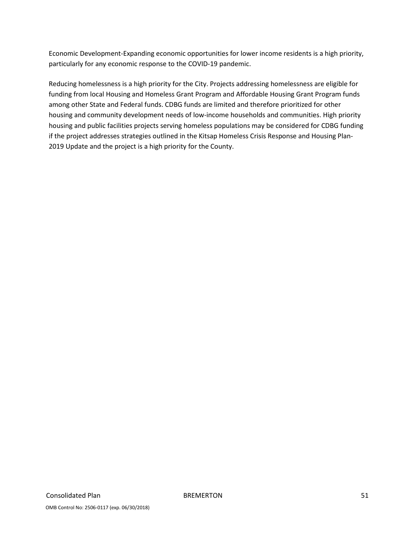Economic Development-Expanding economic opportunities for lower income residents is a high priority, particularly for any economic response to the COVID-19 pandemic.

Reducing homelessness is a high priority for the City. Projects addressing homelessness are eligible for funding from local Housing and Homeless Grant Program and Affordable Housing Grant Program funds among other State and Federal funds. CDBG funds are limited and therefore prioritized for other housing and community development needs of low-income households and communities. High priority housing and public facilities projects serving homeless populations may be considered for CDBG funding if the project addresses strategies outlined in the Kitsap Homeless Crisis Response and Housing Plan-2019 Update and the project is a high priority for the County.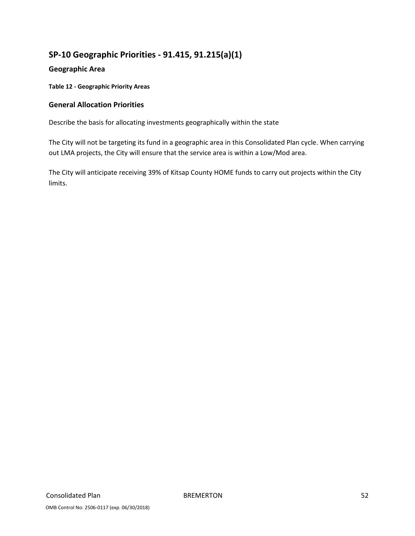# **SP-10 Geographic Priorities - 91.415, 91.215(a)(1)**

## **Geographic Area**

**Table 12 - Geographic Priority Areas**

## **General Allocation Priorities**

Describe the basis for allocating investments geographically within the state

The City will not be targeting its fund in a geographic area in this Consolidated Plan cycle. When carrying out LMA projects, the City will ensure that the service area is within a Low/Mod area.

The City will anticipate receiving 39% of Kitsap County HOME funds to carry out projects within the City limits.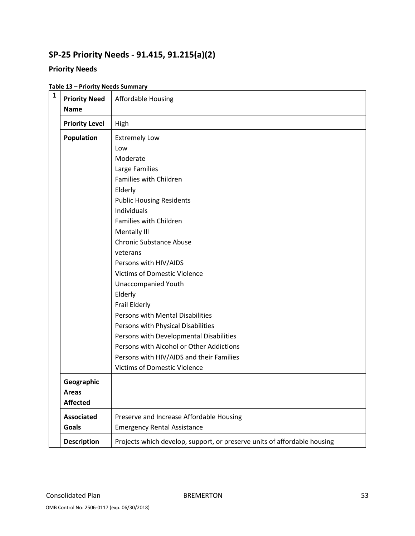# **SP-25 Priority Needs - 91.415, 91.215(a)(2)**

# **Priority Needs**

| $\mathbf{1}$ | <b>Priority Need</b><br><b>Name</b> | <b>Affordable Housing</b>                                                |  |  |  |
|--------------|-------------------------------------|--------------------------------------------------------------------------|--|--|--|
|              | <b>Priority Level</b>               | High                                                                     |  |  |  |
|              | <b>Population</b>                   | <b>Extremely Low</b>                                                     |  |  |  |
|              |                                     | Low                                                                      |  |  |  |
|              |                                     | Moderate                                                                 |  |  |  |
|              |                                     | Large Families                                                           |  |  |  |
|              |                                     | Families with Children                                                   |  |  |  |
|              |                                     | Elderly                                                                  |  |  |  |
|              |                                     | <b>Public Housing Residents</b>                                          |  |  |  |
|              |                                     | Individuals                                                              |  |  |  |
|              |                                     | Families with Children                                                   |  |  |  |
|              |                                     | Mentally III                                                             |  |  |  |
|              |                                     | <b>Chronic Substance Abuse</b>                                           |  |  |  |
|              |                                     | veterans                                                                 |  |  |  |
|              |                                     | Persons with HIV/AIDS                                                    |  |  |  |
|              |                                     | <b>Victims of Domestic Violence</b>                                      |  |  |  |
|              |                                     | <b>Unaccompanied Youth</b>                                               |  |  |  |
|              |                                     | Elderly                                                                  |  |  |  |
|              |                                     | Frail Elderly                                                            |  |  |  |
|              |                                     | Persons with Mental Disabilities                                         |  |  |  |
|              |                                     | Persons with Physical Disabilities                                       |  |  |  |
|              |                                     | Persons with Developmental Disabilities                                  |  |  |  |
|              |                                     | Persons with Alcohol or Other Addictions                                 |  |  |  |
|              |                                     | Persons with HIV/AIDS and their Families                                 |  |  |  |
|              |                                     | <b>Victims of Domestic Violence</b>                                      |  |  |  |
|              | Geographic                          |                                                                          |  |  |  |
|              | Areas                               |                                                                          |  |  |  |
|              | <b>Affected</b>                     |                                                                          |  |  |  |
|              | <b>Associated</b>                   | Preserve and Increase Affordable Housing                                 |  |  |  |
|              | Goals                               | <b>Emergency Rental Assistance</b>                                       |  |  |  |
|              | <b>Description</b>                  | Projects which develop, support, or preserve units of affordable housing |  |  |  |

## **Table 13 – Priority Needs Summary**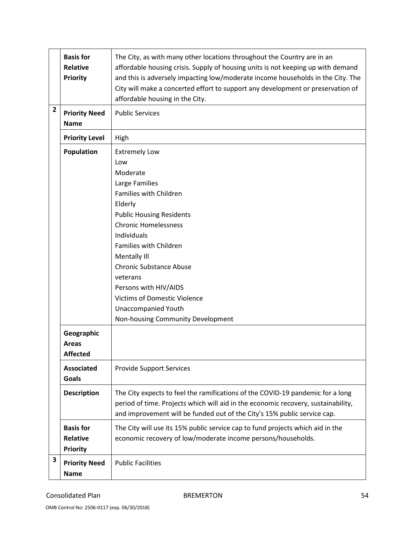|                         | <b>Basis for</b><br><b>Relative</b><br><b>Priority</b>                                                                                                                                                                                          | The City, as with many other locations throughout the Country are in an<br>affordable housing crisis. Supply of housing units is not keeping up with demand<br>and this is adversely impacting low/moderate income households in the City. The<br>City will make a concerted effort to support any development or preservation of<br>affordable housing in the City.                                       |
|-------------------------|-------------------------------------------------------------------------------------------------------------------------------------------------------------------------------------------------------------------------------------------------|------------------------------------------------------------------------------------------------------------------------------------------------------------------------------------------------------------------------------------------------------------------------------------------------------------------------------------------------------------------------------------------------------------|
| $\overline{\mathbf{2}}$ | <b>Priority Need</b><br><b>Name</b>                                                                                                                                                                                                             | <b>Public Services</b>                                                                                                                                                                                                                                                                                                                                                                                     |
|                         | <b>Priority Level</b>                                                                                                                                                                                                                           | High                                                                                                                                                                                                                                                                                                                                                                                                       |
|                         | <b>Population</b>                                                                                                                                                                                                                               | <b>Extremely Low</b><br>Low<br>Moderate<br>Large Families<br>Families with Children<br>Elderly<br><b>Public Housing Residents</b><br><b>Chronic Homelessness</b><br>Individuals<br>Families with Children<br>Mentally III<br><b>Chronic Substance Abuse</b><br>veterans<br>Persons with HIV/AIDS<br><b>Victims of Domestic Violence</b><br><b>Unaccompanied Youth</b><br>Non-housing Community Development |
|                         | Geographic<br>Areas<br><b>Affected</b>                                                                                                                                                                                                          |                                                                                                                                                                                                                                                                                                                                                                                                            |
|                         | <b>Associated</b><br><b>Goals</b>                                                                                                                                                                                                               | <b>Provide Support Services</b>                                                                                                                                                                                                                                                                                                                                                                            |
|                         | The City expects to feel the ramifications of the COVID-19 pandemic for a long<br>period of time. Projects which will aid in the economic recovery, sustainability,<br>and improvement will be funded out of the City's 15% public service cap. |                                                                                                                                                                                                                                                                                                                                                                                                            |
|                         | <b>Basis for</b><br><b>Relative</b><br><b>Priority</b>                                                                                                                                                                                          | The City will use its 15% public service cap to fund projects which aid in the<br>economic recovery of low/moderate income persons/households.                                                                                                                                                                                                                                                             |
| 3                       | <b>Priority Need</b><br><b>Name</b>                                                                                                                                                                                                             | <b>Public Facilities</b>                                                                                                                                                                                                                                                                                                                                                                                   |

OMB Control No: 2506-0117 (exp. 06/30/2018)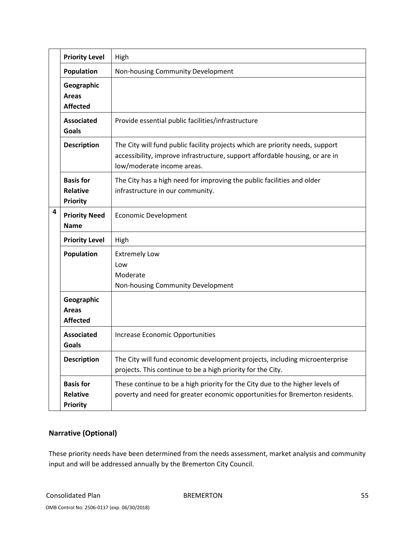|   | <b>Priority Level</b>                                  | High                                                                                                                                                                                        |
|---|--------------------------------------------------------|---------------------------------------------------------------------------------------------------------------------------------------------------------------------------------------------|
|   | <b>Population</b>                                      | Non-housing Community Development                                                                                                                                                           |
|   | Geographic<br><b>Areas</b><br><b>Affected</b>          |                                                                                                                                                                                             |
|   | <b>Associated</b><br><b>Goals</b>                      | Provide essential public facilities/infrastructure                                                                                                                                          |
|   | <b>Description</b>                                     | The City will fund public facility projects which are priority needs, support<br>accessibility, improve infrastructure, support affordable housing, or are in<br>low/moderate income areas. |
|   | <b>Basis for</b><br><b>Relative</b><br><b>Priority</b> | The City has a high need for improving the public facilities and older<br>infrastructure in our community.                                                                                  |
| 4 | <b>Priority Need</b><br><b>Name</b>                    | <b>Economic Development</b>                                                                                                                                                                 |
|   | <b>Priority Level</b>                                  | High                                                                                                                                                                                        |
|   | <b>Population</b>                                      | <b>Extremely Low</b><br>Low<br>Moderate<br>Non-housing Community Development                                                                                                                |
|   | Geographic<br><b>Areas</b><br><b>Affected</b>          |                                                                                                                                                                                             |
|   | <b>Associated</b><br><b>Goals</b>                      | Increase Economic Opportunities                                                                                                                                                             |
|   | <b>Description</b>                                     | The City will fund economic development projects, including microenterprise<br>projects. This continue to be a high priority for the City.                                                  |
|   | <b>Basis for</b><br><b>Relative</b><br><b>Priority</b> | These continue to be a high priority for the City due to the higher levels of<br>poverty and need for greater economic opportunities for Bremerton residents.                               |

## **Narrative (Optional)**

These priority needs have been determined from the needs assessment, market analysis and community input and will be addressed annually by the Bremerton City Council.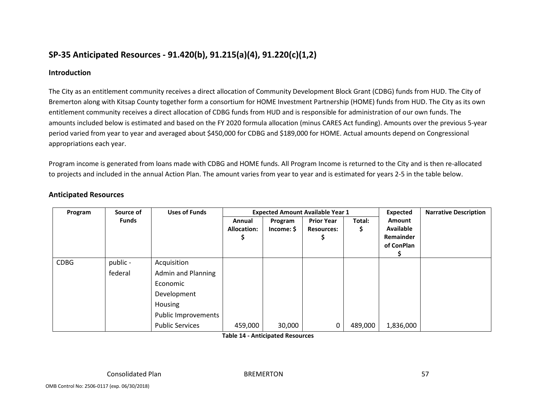# **SP-35 Anticipated Resources - 91.420(b), 91.215(a)(4), 91.220(c)(1,2)**

## **Introduction**

The City as an entitlement community receives a direct allocation of Community Development Block Grant (CDBG) funds from HUD. The City of Bremerton along with Kitsap County together form a consortium for HOME Investment Partnership (HOME) funds from HUD. The City as its own entitlement community receives a direct allocation of CDBG funds from HUD and is responsible for administration of our own funds. The amounts included below is estimated and based on the FY 2020 formula allocation (minus CARES Act funding). Amounts over the previous 5-year period varied from year to year and averaged about \$450,000 for CDBG and \$189,000 for HOME. Actual amounts depend on Congressional appropriations each year.

Program income is generated from loans made with CDBG and HOME funds. All Program Income is returned to the City and is then re-allocated to projects and included in the annual Action Plan. The amount varies from year to year and is estimated for years 2-5 in the table below.

| Program     | Source of    | <b>Uses of Funds</b>      |             |         | <b>Expected Amount Available Year 1</b> | Expected | <b>Narrative Description</b> |  |
|-------------|--------------|---------------------------|-------------|---------|-----------------------------------------|----------|------------------------------|--|
|             | <b>Funds</b> |                           | Annual      | Program | <b>Prior Year</b>                       | Total:   | <b>Amount</b>                |  |
|             |              |                           | Allocation: | Income: | <b>Resources:</b>                       | \$       | <b>Available</b>             |  |
|             |              |                           | \$          |         |                                         |          | Remainder                    |  |
|             |              |                           |             |         |                                         |          | of ConPlan                   |  |
|             |              |                           |             |         |                                         |          |                              |  |
| <b>CDBG</b> | public -     | Acquisition               |             |         |                                         |          |                              |  |
|             | federal      | <b>Admin and Planning</b> |             |         |                                         |          |                              |  |
|             |              | Economic                  |             |         |                                         |          |                              |  |
|             |              | Development               |             |         |                                         |          |                              |  |
|             |              | Housing                   |             |         |                                         |          |                              |  |
|             |              | Public Improvements       |             |         |                                         |          |                              |  |
|             |              | <b>Public Services</b>    | 459,000     | 30,000  | 0                                       | 489,000  | 1,836,000                    |  |

## **Anticipated Resources**

**Table 14 - Anticipated Resources**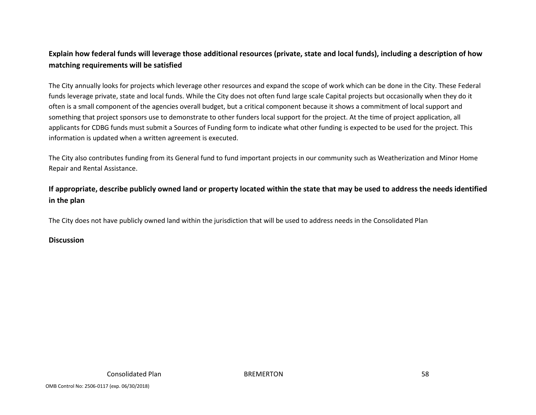# **Explain how federal funds will leverage those additional resources (private, state and local funds), including a description of how matching requirements will be satisfied**

The City annually looks for projects which leverage other resources and expand the scope of work which can be done in the City. These Federal funds leverage private, state and local funds. While the City does not often fund large scale Capital projects but occasionally when they do it often is a small component of the agencies overall budget, but a critical component because it shows a commitment of local support and something that project sponsors use to demonstrate to other funders local support for the project. At the time of project application, all applicants for CDBG funds must submit a Sources of Funding form to indicate what other funding is expected to be used for the project. This information is updated when a written agreement is executed.

The City also contributes funding from its General fund to fund important projects in our community such as Weatherization and Minor Home Repair and Rental Assistance.

# **If appropriate, describe publicly owned land or property located within the state that may be used to address the needs identified in the plan**

The City does not have publicly owned land within the jurisdiction that will be used to address needs in the Consolidated Plan

## **Discussion**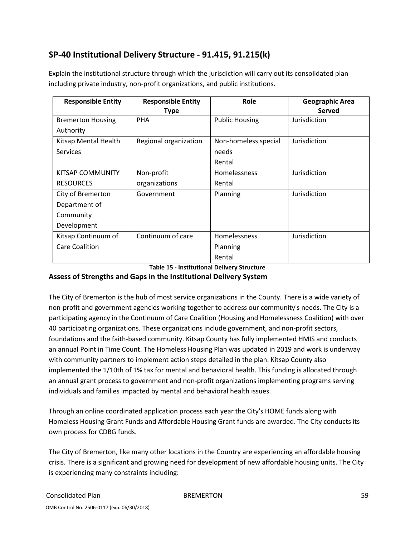# **SP-40 Institutional Delivery Structure - 91.415, 91.215(k)**

| <b>Responsible Entity</b>      | <b>Responsible Entity</b><br><b>Type</b> | Role                  | <b>Geographic Area</b><br><b>Served</b> |  |  |
|--------------------------------|------------------------------------------|-----------------------|-----------------------------------------|--|--|
| <b>Bremerton Housing</b>       | <b>PHA</b>                               | <b>Public Housing</b> | Jurisdiction                            |  |  |
| Authority                      |                                          |                       |                                         |  |  |
| Kitsap Mental Health           | Regional organization                    | Non-homeless special  | Jurisdiction                            |  |  |
| Services                       |                                          | needs                 |                                         |  |  |
|                                |                                          | Rental                |                                         |  |  |
| Non-profit<br>KITSAP COMMUNITY |                                          | Homelessness          | Jurisdiction                            |  |  |
| <b>RESOURCES</b>               | organizations                            | Rental                |                                         |  |  |
| City of Bremerton              | Government                               | Planning              | Jurisdiction                            |  |  |
| Department of                  |                                          |                       |                                         |  |  |
| Community                      |                                          |                       |                                         |  |  |
| Development                    |                                          |                       |                                         |  |  |
| Kitsap Continuum of            | Continuum of care                        | Homelessness          | Jurisdiction                            |  |  |
| Care Coalition                 |                                          | Planning              |                                         |  |  |
|                                |                                          | Rental                |                                         |  |  |

Explain the institutional structure through which the jurisdiction will carry out its consolidated plan including private industry, non-profit organizations, and public institutions.

**Table 15 - Institutional Delivery Structure**

## **Assess of Strengths and Gaps in the Institutional Delivery System**

The City of Bremerton is the hub of most service organizations in the County. There is a wide variety of non-profit and government agencies working together to address our community's needs. The City is a participating agency in the Continuum of Care Coalition (Housing and Homelessness Coalition) with over 40 participating organizations. These organizations include government, and non-profit sectors, foundations and the faith-based community. Kitsap County has fully implemented HMIS and conducts an annual Point in Time Count. The Homeless Housing Plan was updated in 2019 and work is underway with community partners to implement action steps detailed in the plan. Kitsap County also implemented the 1/10th of 1% tax for mental and behavioral health. This funding is allocated through an annual grant process to government and non-profit organizations implementing programs serving individuals and families impacted by mental and behavioral health issues.

Through an online coordinated application process each year the City's HOME funds along with Homeless Housing Grant Funds and Affordable Housing Grant funds are awarded. The City conducts its own process for CDBG funds.

The City of Bremerton, like many other locations in the Country are experiencing an affordable housing crisis. There is a significant and growing need for development of new affordable housing units. The City is experiencing many constraints including: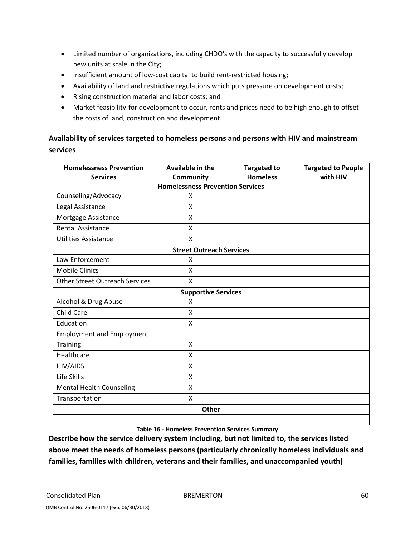- Limited number of organizations, including CHDO's with the capacity to successfully develop new units at scale in the City;
- Insufficient amount of low-cost capital to build rent-restricted housing;
- Availability of land and restrictive regulations which puts pressure on development costs;
- Rising construction material and labor costs; and
- Market feasibility-for development to occur, rents and prices need to be high enough to offset the costs of land, construction and development.

## **Availability of services targeted to homeless persons and persons with HIV and mainstream services**

| <b>Homelessness Prevention</b><br><b>Services</b> | Available in the<br><b>Community</b>    | <b>Targeted to</b><br><b>Homeless</b> | <b>Targeted to People</b><br>with HIV |  |  |  |  |  |
|---------------------------------------------------|-----------------------------------------|---------------------------------------|---------------------------------------|--|--|--|--|--|
|                                                   | <b>Homelessness Prevention Services</b> |                                       |                                       |  |  |  |  |  |
| Counseling/Advocacy                               | X                                       |                                       |                                       |  |  |  |  |  |
| Legal Assistance                                  | X                                       |                                       |                                       |  |  |  |  |  |
| Mortgage Assistance                               | $\mathsf{X}$                            |                                       |                                       |  |  |  |  |  |
| <b>Rental Assistance</b>                          | $\mathsf{x}$                            |                                       |                                       |  |  |  |  |  |
| <b>Utilities Assistance</b>                       | X                                       |                                       |                                       |  |  |  |  |  |
|                                                   | <b>Street Outreach Services</b>         |                                       |                                       |  |  |  |  |  |
| Law Enforcement                                   | X                                       |                                       |                                       |  |  |  |  |  |
| <b>Mobile Clinics</b>                             | $\mathsf{x}$                            |                                       |                                       |  |  |  |  |  |
| <b>Other Street Outreach Services</b>             | X                                       |                                       |                                       |  |  |  |  |  |
|                                                   | <b>Supportive Services</b>              |                                       |                                       |  |  |  |  |  |
| Alcohol & Drug Abuse                              | X                                       |                                       |                                       |  |  |  |  |  |
| <b>Child Care</b>                                 | $\mathsf{x}$                            |                                       |                                       |  |  |  |  |  |
| Education                                         | $\mathsf{X}$                            |                                       |                                       |  |  |  |  |  |
| <b>Employment and Employment</b>                  |                                         |                                       |                                       |  |  |  |  |  |
| <b>Training</b>                                   | X                                       |                                       |                                       |  |  |  |  |  |
| Healthcare                                        | $\boldsymbol{\mathsf{X}}$               |                                       |                                       |  |  |  |  |  |
| HIV/AIDS                                          | X                                       |                                       |                                       |  |  |  |  |  |
| Life Skills                                       | X                                       |                                       |                                       |  |  |  |  |  |
| <b>Mental Health Counseling</b>                   | X                                       |                                       |                                       |  |  |  |  |  |
| Transportation                                    | X                                       |                                       |                                       |  |  |  |  |  |
|                                                   | <b>Other</b>                            |                                       |                                       |  |  |  |  |  |
|                                                   |                                         |                                       |                                       |  |  |  |  |  |

**Table 16 - Homeless Prevention Services Summary**

**Describe how the service delivery system including, but not limited to, the services listed above meet the needs of homeless persons (particularly chronically homeless individuals and families, families with children, veterans and their families, and unaccompanied youth)**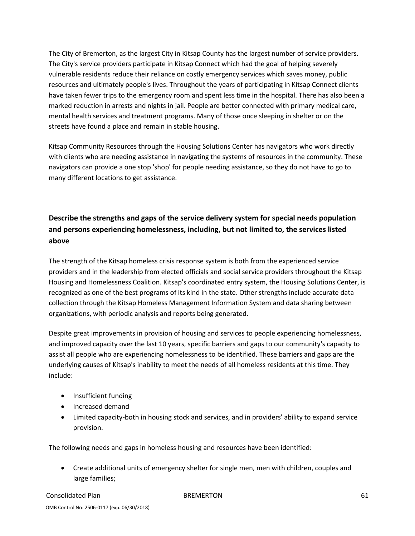The City of Bremerton, as the largest City in Kitsap County has the largest number of service providers. The City's service providers participate in Kitsap Connect which had the goal of helping severely vulnerable residents reduce their reliance on costly emergency services which saves money, public resources and ultimately people's lives. Throughout the years of participating in Kitsap Connect clients have taken fewer trips to the emergency room and spent less time in the hospital. There has also been a marked reduction in arrests and nights in jail. People are better connected with primary medical care, mental health services and treatment programs. Many of those once sleeping in shelter or on the streets have found a place and remain in stable housing.

Kitsap Community Resources through the Housing Solutions Center has navigators who work directly with clients who are needing assistance in navigating the systems of resources in the community. These navigators can provide a one stop 'shop' for people needing assistance, so they do not have to go to many different locations to get assistance.

# **Describe the strengths and gaps of the service delivery system for special needs population and persons experiencing homelessness, including, but not limited to, the services listed above**

The strength of the Kitsap homeless crisis response system is both from the experienced service providers and in the leadership from elected officials and social service providers throughout the Kitsap Housing and Homelessness Coalition. Kitsap's coordinated entry system, the Housing Solutions Center, is recognized as one of the best programs of its kind in the state. Other strengths include accurate data collection through the Kitsap Homeless Management Information System and data sharing between organizations, with periodic analysis and reports being generated.

Despite great improvements in provision of housing and services to people experiencing homelessness, and improved capacity over the last 10 years, specific barriers and gaps to our community's capacity to assist all people who are experiencing homelessness to be identified. These barriers and gaps are the underlying causes of Kitsap's inability to meet the needs of all homeless residents at this time. They include:

- Insufficient funding
- Increased demand
- Limited capacity-both in housing stock and services, and in providers' ability to expand service provision.

The following needs and gaps in homeless housing and resources have been identified:

• Create additional units of emergency shelter for single men, men with children, couples and large families;

Consolidated Plan 61 and BREMERTON 61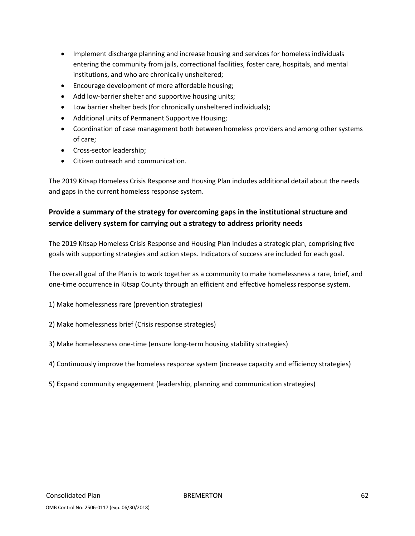- Implement discharge planning and increase housing and services for homeless individuals entering the community from jails, correctional facilities, foster care, hospitals, and mental institutions, and who are chronically unsheltered;
- Encourage development of more affordable housing;
- Add low-barrier shelter and supportive housing units;
- Low barrier shelter beds (for chronically unsheltered individuals);
- Additional units of Permanent Supportive Housing;
- Coordination of case management both between homeless providers and among other systems of care;
- Cross-sector leadership;
- Citizen outreach and communication.

The 2019 Kitsap Homeless Crisis Response and Housing Plan includes additional detail about the needs and gaps in the current homeless response system.

# **Provide a summary of the strategy for overcoming gaps in the institutional structure and service delivery system for carrying out a strategy to address priority needs**

The 2019 Kitsap Homeless Crisis Response and Housing Plan includes a strategic plan, comprising five goals with supporting strategies and action steps. Indicators of success are included for each goal.

The overall goal of the Plan is to work together as a community to make homelessness a rare, brief, and one-time occurrence in Kitsap County through an efficient and effective homeless response system.

- 1) Make homelessness rare (prevention strategies)
- 2) Make homelessness brief (Crisis response strategies)
- 3) Make homelessness one-time (ensure long-term housing stability strategies)
- 4) Continuously improve the homeless response system (increase capacity and efficiency strategies)
- 5) Expand community engagement (leadership, planning and communication strategies)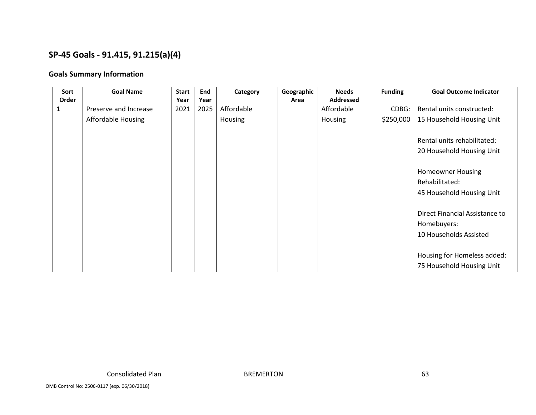# **SP-45 Goals - 91.415, 91.215(a)(4)**

## **Goals Summary Information**

| Sort  | <b>Goal Name</b>          | <b>Start</b> | End  | Category   | Geographic | <b>Needs</b> | <b>Funding</b> | <b>Goal Outcome Indicator</b>  |
|-------|---------------------------|--------------|------|------------|------------|--------------|----------------|--------------------------------|
| Order |                           | Year         | Year |            | Area       | Addressed    |                |                                |
| 1     | Preserve and Increase     | 2021         | 2025 | Affordable |            | Affordable   | CDBG:          | Rental units constructed:      |
|       | <b>Affordable Housing</b> |              |      | Housing    |            | Housing      | \$250,000      | 15 Household Housing Unit      |
|       |                           |              |      |            |            |              |                |                                |
|       |                           |              |      |            |            |              |                | Rental units rehabilitated:    |
|       |                           |              |      |            |            |              |                | 20 Household Housing Unit      |
|       |                           |              |      |            |            |              |                |                                |
|       |                           |              |      |            |            |              |                | <b>Homeowner Housing</b>       |
|       |                           |              |      |            |            |              |                | Rehabilitated:                 |
|       |                           |              |      |            |            |              |                | 45 Household Housing Unit      |
|       |                           |              |      |            |            |              |                | Direct Financial Assistance to |
|       |                           |              |      |            |            |              |                |                                |
|       |                           |              |      |            |            |              |                | Homebuyers:                    |
|       |                           |              |      |            |            |              |                | 10 Households Assisted         |
|       |                           |              |      |            |            |              |                |                                |
|       |                           |              |      |            |            |              |                | Housing for Homeless added:    |
|       |                           |              |      |            |            |              |                | 75 Household Housing Unit      |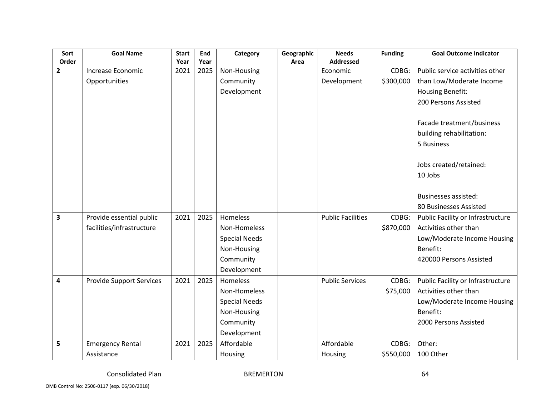| Sort                    | <b>Goal Name</b>                | <b>Start</b> | End  | Category             | Geographic | <b>Needs</b>             | <b>Funding</b> | <b>Goal Outcome Indicator</b>     |
|-------------------------|---------------------------------|--------------|------|----------------------|------------|--------------------------|----------------|-----------------------------------|
| Order                   |                                 | Year         | Year |                      | Area       | <b>Addressed</b>         |                |                                   |
| $\overline{2}$          | Increase Economic               | 2021         | 2025 | Non-Housing          |            | Economic                 | CDBG:          | Public service activities other   |
|                         | Opportunities                   |              |      | Community            |            | Development              | \$300,000      | than Low/Moderate Income          |
|                         |                                 |              |      | Development          |            |                          |                | <b>Housing Benefit:</b>           |
|                         |                                 |              |      |                      |            |                          |                | 200 Persons Assisted              |
|                         |                                 |              |      |                      |            |                          |                |                                   |
|                         |                                 |              |      |                      |            |                          |                | Facade treatment/business         |
|                         |                                 |              |      |                      |            |                          |                | building rehabilitation:          |
|                         |                                 |              |      |                      |            |                          |                | 5 Business                        |
|                         |                                 |              |      |                      |            |                          |                |                                   |
|                         |                                 |              |      |                      |            |                          |                | Jobs created/retained:            |
|                         |                                 |              |      |                      |            |                          |                | 10 Jobs                           |
|                         |                                 |              |      |                      |            |                          |                | <b>Businesses assisted:</b>       |
|                         |                                 |              |      |                      |            |                          |                | 80 Businesses Assisted            |
| $\overline{\mathbf{3}}$ | Provide essential public        | 2021         | 2025 | Homeless             |            | <b>Public Facilities</b> | CDBG:          | Public Facility or Infrastructure |
|                         | facilities/infrastructure       |              |      | Non-Homeless         |            |                          | \$870,000      | Activities other than             |
|                         |                                 |              |      | <b>Special Needs</b> |            |                          |                | Low/Moderate Income Housing       |
|                         |                                 |              |      | Non-Housing          |            |                          |                | Benefit:                          |
|                         |                                 |              |      | Community            |            |                          |                | 420000 Persons Assisted           |
|                         |                                 |              |      | Development          |            |                          |                |                                   |
|                         |                                 |              |      |                      |            |                          |                |                                   |
| $\overline{\mathbf{4}}$ | <b>Provide Support Services</b> | 2021         | 2025 | Homeless             |            | <b>Public Services</b>   | CDBG:          | Public Facility or Infrastructure |
|                         |                                 |              |      | Non-Homeless         |            |                          | \$75,000       | Activities other than             |
|                         |                                 |              |      | <b>Special Needs</b> |            |                          |                | Low/Moderate Income Housing       |
|                         |                                 |              |      | Non-Housing          |            |                          |                | Benefit:                          |
|                         |                                 |              |      | Community            |            |                          |                | 2000 Persons Assisted             |
|                         |                                 |              |      | Development          |            |                          |                |                                   |
| 5                       | <b>Emergency Rental</b>         | 2021         | 2025 | Affordable           |            | Affordable               | CDBG:          | Other:                            |
|                         | Assistance                      |              |      | Housing              |            | Housing                  | \$550,000      | 100 Other                         |

Consolidated Plan 64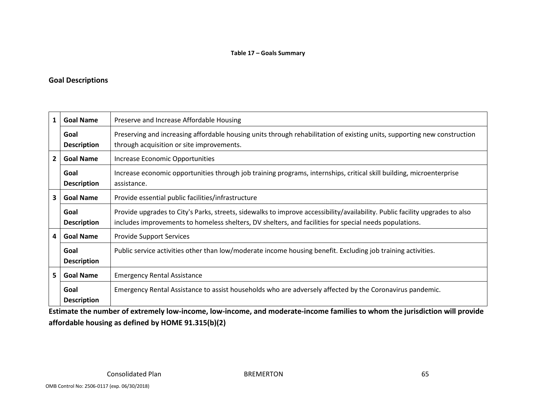## **Goal Descriptions**

| $\mathbf{1}$ | <b>Goal Name</b>           | Preserve and Increase Affordable Housing                                                                                                                                                                                               |  |  |  |  |  |
|--------------|----------------------------|----------------------------------------------------------------------------------------------------------------------------------------------------------------------------------------------------------------------------------------|--|--|--|--|--|
|              | Goal<br><b>Description</b> | Preserving and increasing affordable housing units through rehabilitation of existing units, supporting new construction<br>through acquisition or site improvements.                                                                  |  |  |  |  |  |
| $\mathbf{2}$ | <b>Goal Name</b>           | Increase Economic Opportunities                                                                                                                                                                                                        |  |  |  |  |  |
|              | Goal<br><b>Description</b> | Increase economic opportunities through job training programs, internships, critical skill building, microenterprise<br>assistance.                                                                                                    |  |  |  |  |  |
| 3            | <b>Goal Name</b>           | Provide essential public facilities/infrastructure                                                                                                                                                                                     |  |  |  |  |  |
|              | Goal<br><b>Description</b> | Provide upgrades to City's Parks, streets, sidewalks to improve accessibility/availability. Public facility upgrades to also<br>includes improvements to homeless shelters, DV shelters, and facilities for special needs populations. |  |  |  |  |  |
| 4            | <b>Goal Name</b>           | <b>Provide Support Services</b>                                                                                                                                                                                                        |  |  |  |  |  |
|              | Goal<br><b>Description</b> | Public service activities other than low/moderate income housing benefit. Excluding job training activities.                                                                                                                           |  |  |  |  |  |
| 5            | <b>Goal Name</b>           | <b>Emergency Rental Assistance</b>                                                                                                                                                                                                     |  |  |  |  |  |
|              | Goal<br><b>Description</b> | Emergency Rental Assistance to assist households who are adversely affected by the Coronavirus pandemic.                                                                                                                               |  |  |  |  |  |

**Estimate the number of extremely low-income, low-income, and moderate-income families to whom the jurisdiction will provide affordable housing as defined by HOME 91.315(b)(2)**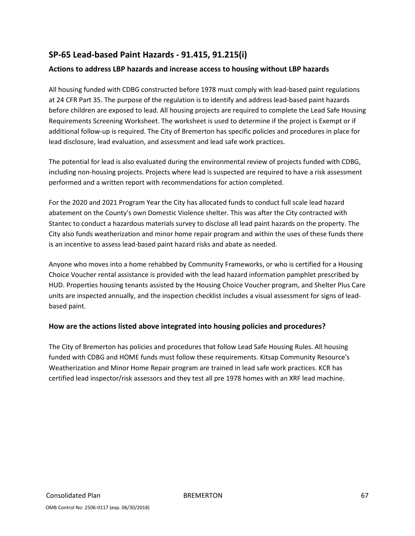# **SP-65 Lead-based Paint Hazards - 91.415, 91.215(i)**

## **Actions to address LBP hazards and increase access to housing without LBP hazards**

All housing funded with CDBG constructed before 1978 must comply with lead-based paint regulations at 24 CFR Part 35. The purpose of the regulation is to identify and address lead-based paint hazards before children are exposed to lead. All housing projects are required to complete the Lead Safe Housing Requirements Screening Worksheet. The worksheet is used to determine if the project is Exempt or if additional follow-up is required. The City of Bremerton has specific policies and procedures in place for lead disclosure, lead evaluation, and assessment and lead safe work practices.

The potential for lead is also evaluated during the environmental review of projects funded with CDBG, including non-housing projects. Projects where lead is suspected are required to have a risk assessment performed and a written report with recommendations for action completed.

For the 2020 and 2021 Program Year the City has allocated funds to conduct full scale lead hazard abatement on the County's own Domestic Violence shelter. This was after the City contracted with Stantec to conduct a hazardous materials survey to disclose all lead paint hazards on the property. The City also funds weatherization and minor home repair program and within the uses of these funds there is an incentive to assess lead-based paint hazard risks and abate as needed.

Anyone who moves into a home rehabbed by Community Frameworks, or who is certified for a Housing Choice Voucher rental assistance is provided with the lead hazard information pamphlet prescribed by HUD. Properties housing tenants assisted by the Housing Choice Voucher program, and Shelter Plus Care units are inspected annually, and the inspection checklist includes a visual assessment for signs of leadbased paint.

## **How are the actions listed above integrated into housing policies and procedures?**

The City of Bremerton has policies and procedures that follow Lead Safe Housing Rules. All housing funded with CDBG and HOME funds must follow these requirements. Kitsap Community Resource's Weatherization and Minor Home Repair program are trained in lead safe work practices. KCR has certified lead inspector/risk assessors and they test all pre 1978 homes with an XRF lead machine.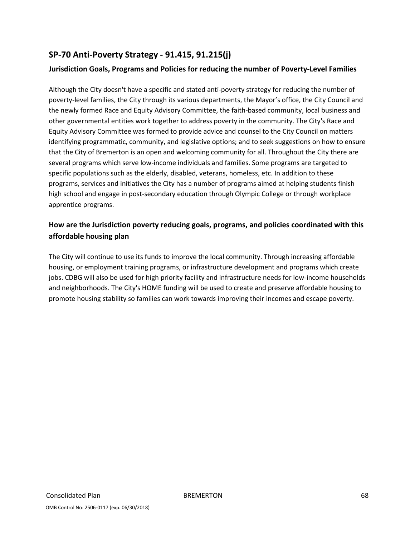# **SP-70 Anti-Poverty Strategy - 91.415, 91.215(j)**

## **Jurisdiction Goals, Programs and Policies for reducing the number of Poverty-Level Families**

Although the City doesn't have a specific and stated anti-poverty strategy for reducing the number of poverty-level families, the City through its various departments, the Mayor's office, the City Council and the newly formed Race and Equity Advisory Committee, the faith-based community, local business and other governmental entities work together to address poverty in the community. The City's Race and Equity Advisory Committee was formed to provide advice and counsel to the City Council on matters identifying programmatic, community, and legislative options; and to seek suggestions on how to ensure that the City of Bremerton is an open and welcoming community for all. Throughout the City there are several programs which serve low-income individuals and families. Some programs are targeted to specific populations such as the elderly, disabled, veterans, homeless, etc. In addition to these programs, services and initiatives the City has a number of programs aimed at helping students finish high school and engage in post-secondary education through Olympic College or through workplace apprentice programs.

## **How are the Jurisdiction poverty reducing goals, programs, and policies coordinated with this affordable housing plan**

The City will continue to use its funds to improve the local community. Through increasing affordable housing, or employment training programs, or infrastructure development and programs which create jobs. CDBG will also be used for high priority facility and infrastructure needs for low-income households and neighborhoods. The City's HOME funding will be used to create and preserve affordable housing to promote housing stability so families can work towards improving their incomes and escape poverty.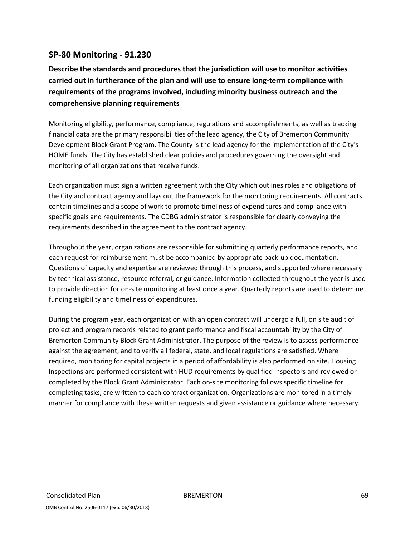## **SP-80 Monitoring - 91.230**

**Describe the standards and procedures that the jurisdiction will use to monitor activities carried out in furtherance of the plan and will use to ensure long-term compliance with requirements of the programs involved, including minority business outreach and the comprehensive planning requirements**

Monitoring eligibility, performance, compliance, regulations and accomplishments, as well as tracking financial data are the primary responsibilities of the lead agency, the City of Bremerton Community Development Block Grant Program. The County is the lead agency for the implementation of the City's HOME funds. The City has established clear policies and procedures governing the oversight and monitoring of all organizations that receive funds.

Each organization must sign a written agreement with the City which outlines roles and obligations of the City and contract agency and lays out the framework for the monitoring requirements. All contracts contain timelines and a scope of work to promote timeliness of expenditures and compliance with specific goals and requirements. The CDBG administrator is responsible for clearly conveying the requirements described in the agreement to the contract agency.

Throughout the year, organizations are responsible for submitting quarterly performance reports, and each request for reimbursement must be accompanied by appropriate back-up documentation. Questions of capacity and expertise are reviewed through this process, and supported where necessary by technical assistance, resource referral, or guidance. Information collected throughout the year is used to provide direction for on-site monitoring at least once a year. Quarterly reports are used to determine funding eligibility and timeliness of expenditures.

During the program year, each organization with an open contract will undergo a full, on site audit of project and program records related to grant performance and fiscal accountability by the City of Bremerton Community Block Grant Administrator. The purpose of the review is to assess performance against the agreement, and to verify all federal, state, and local regulations are satisfied. Where required, monitoring for capital projects in a period of affordability is also performed on site. Housing Inspections are performed consistent with HUD requirements by qualified inspectors and reviewed or completed by the Block Grant Administrator. Each on-site monitoring follows specific timeline for completing tasks, are written to each contract organization. Organizations are monitored in a timely manner for compliance with these written requests and given assistance or guidance where necessary.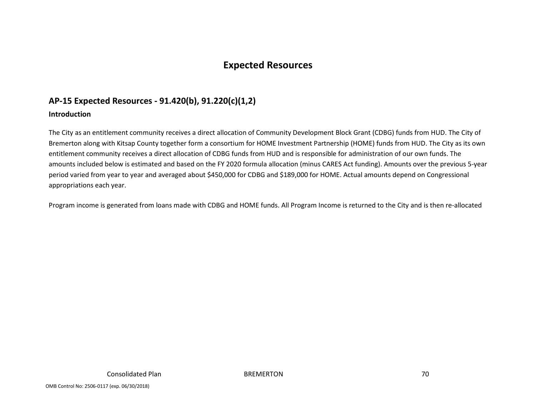# **Expected Resources**

# **AP-15 Expected Resources - 91.420(b), 91.220(c)(1,2)**

## **Introduction**

The City as an entitlement community receives a direct allocation of Community Development Block Grant (CDBG) funds from HUD. The City of Bremerton along with Kitsap County together form a consortium for HOME Investment Partnership (HOME) funds from HUD. The City as its own entitlement community receives a direct allocation of CDBG funds from HUD and is responsible for administration of our own funds. The amounts included below is estimated and based on the FY 2020 formula allocation (minus CARES Act funding). Amounts over the previous 5-year period varied from year to year and averaged about \$450,000 for CDBG and \$189,000 for HOME. Actual amounts depend on Congressional appropriations each year.

Program income is generated from loans made with CDBG and HOME funds. All Program Income is returned to the City and is then re-allocated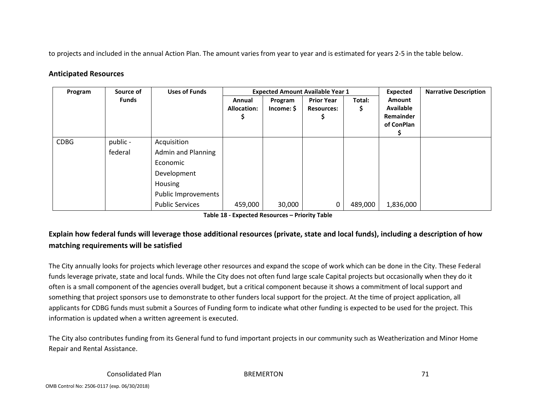to projects and included in the annual Action Plan. The amount varies from year to year and is estimated for years 2-5 in the table below.

## **Anticipated Resources**

| Program     | Source of    | <b>Uses of Funds</b>   |                                   |                       | <b>Expected Amount Available Year 1</b> | Expected     | <b>Narrative Description</b>                          |  |
|-------------|--------------|------------------------|-----------------------------------|-----------------------|-----------------------------------------|--------------|-------------------------------------------------------|--|
|             | <b>Funds</b> |                        | Annual<br><b>Allocation:</b><br>Ş | Program<br>Income: \$ | <b>Prior Year</b><br><b>Resources:</b>  | Total:<br>\$ | Amount<br><b>Available</b><br>Remainder<br>of ConPlan |  |
| <b>CDBG</b> | public -     | Acquisition            |                                   |                       |                                         |              |                                                       |  |
|             | federal      | Admin and Planning     |                                   |                       |                                         |              |                                                       |  |
|             |              | Economic               |                                   |                       |                                         |              |                                                       |  |
|             |              | Development            |                                   |                       |                                         |              |                                                       |  |
|             |              | Housing                |                                   |                       |                                         |              |                                                       |  |
|             |              | Public Improvements    |                                   |                       |                                         |              |                                                       |  |
|             |              | <b>Public Services</b> | 459,000                           | 30,000                | 0                                       | 489,000      | 1,836,000                                             |  |

**Table 18 - Expected Resources – Priority Table**

# **Explain how federal funds will leverage those additional resources (private, state and local funds), including a description of how matching requirements will be satisfied**

The City annually looks for projects which leverage other resources and expand the scope of work which can be done in the City. These Federal funds leverage private, state and local funds. While the City does not often fund large scale Capital projects but occasionally when they do it often is a small component of the agencies overall budget, but a critical component because it shows a commitment of local support and something that project sponsors use to demonstrate to other funders local support for the project. At the time of project application, all applicants for CDBG funds must submit a Sources of Funding form to indicate what other funding is expected to be used for the project. This information is updated when a written agreement is executed.

The City also contributes funding from its General fund to fund important projects in our community such as Weatherization and Minor Home Repair and Rental Assistance.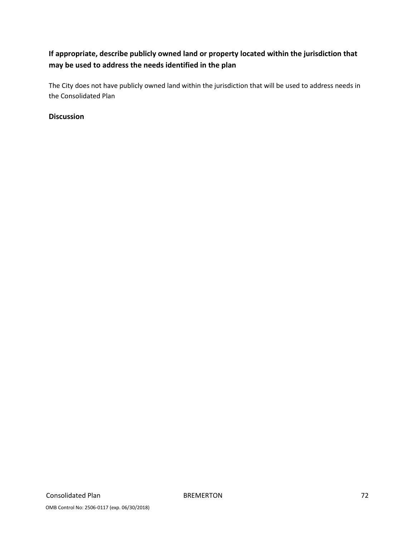# **If appropriate, describe publicly owned land or property located within the jurisdiction that may be used to address the needs identified in the plan**

The City does not have publicly owned land within the jurisdiction that will be used to address needs in the Consolidated Plan

## **Discussion**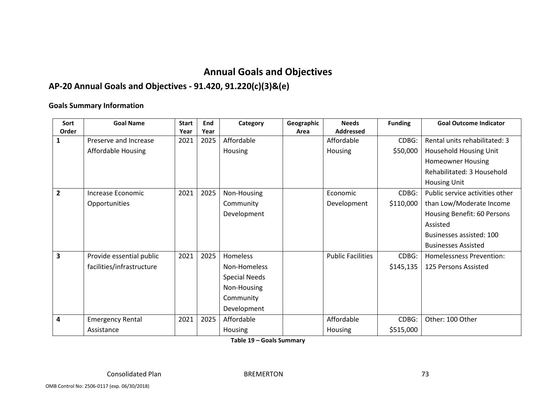# **Annual Goals and Objectives**

## **AP-20 Annual Goals and Objectives - 91.420, 91.220(c)(3)&(e)**

#### **Goals Summary Information**

| Sort           | <b>Goal Name</b>          | <b>Start</b> | End  | Category             | Geographic | <b>Needs</b>             | <b>Funding</b> | <b>Goal Outcome Indicator</b>   |
|----------------|---------------------------|--------------|------|----------------------|------------|--------------------------|----------------|---------------------------------|
| Order          |                           | Year         | Year |                      | Area       | <b>Addressed</b>         |                |                                 |
| $\mathbf{1}$   | Preserve and Increase     | 2021         | 2025 | Affordable           |            | Affordable               | CDBG:          | Rental units rehabilitated: 3   |
|                | Affordable Housing        |              |      | Housing              |            | Housing                  | \$50,000       | Household Housing Unit          |
|                |                           |              |      |                      |            |                          |                | <b>Homeowner Housing</b>        |
|                |                           |              |      |                      |            |                          |                | Rehabilitated: 3 Household      |
|                |                           |              |      |                      |            |                          |                | <b>Housing Unit</b>             |
| $\overline{2}$ | Increase Economic         | 2021         | 2025 | Non-Housing          |            | Economic                 | CDBG:          | Public service activities other |
|                | Opportunities             |              |      | Community            |            | Development              | \$110,000      | than Low/Moderate Income        |
|                |                           |              |      | Development          |            |                          |                | Housing Benefit: 60 Persons     |
|                |                           |              |      |                      |            |                          |                | Assisted                        |
|                |                           |              |      |                      |            |                          |                | Businesses assisted: 100        |
|                |                           |              |      |                      |            |                          |                | <b>Businesses Assisted</b>      |
| 3              | Provide essential public  | 2021         | 2025 | Homeless             |            | <b>Public Facilities</b> | CDBG:          | Homelessness Prevention:        |
|                | facilities/infrastructure |              |      | Non-Homeless         |            |                          | \$145,135      | 125 Persons Assisted            |
|                |                           |              |      | <b>Special Needs</b> |            |                          |                |                                 |
|                |                           |              |      | Non-Housing          |            |                          |                |                                 |
|                |                           |              |      | Community            |            |                          |                |                                 |
|                |                           |              |      | Development          |            |                          |                |                                 |
| 4              | <b>Emergency Rental</b>   | 2021         | 2025 | Affordable           |            | Affordable               | CDBG:          | Other: 100 Other                |
|                | Assistance                |              |      | <b>Housing</b>       |            | Housing                  | \$515,000      |                                 |

**Table 19 – Goals Summary**

OMB Control No: 2506-0117 (exp. 06/30/2018)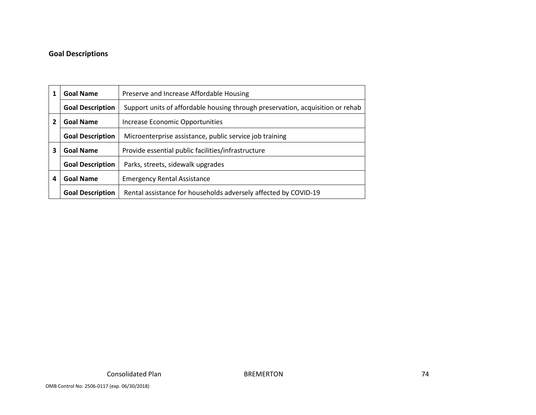### **Goal Descriptions**

|   | <b>Goal Name</b>        | Preserve and Increase Affordable Housing                                       |  |  |
|---|-------------------------|--------------------------------------------------------------------------------|--|--|
|   | <b>Goal Description</b> | Support units of affordable housing through preservation, acquisition or rehab |  |  |
| 2 | <b>Goal Name</b>        | Increase Economic Opportunities                                                |  |  |
|   | <b>Goal Description</b> | Microenterprise assistance, public service job training                        |  |  |
| 3 | <b>Goal Name</b>        | Provide essential public facilities/infrastructure                             |  |  |
|   | <b>Goal Description</b> | Parks, streets, sidewalk upgrades                                              |  |  |
| 4 | <b>Goal Name</b>        | <b>Emergency Rental Assistance</b>                                             |  |  |
|   | <b>Goal Description</b> | Rental assistance for households adversely affected by COVID-19                |  |  |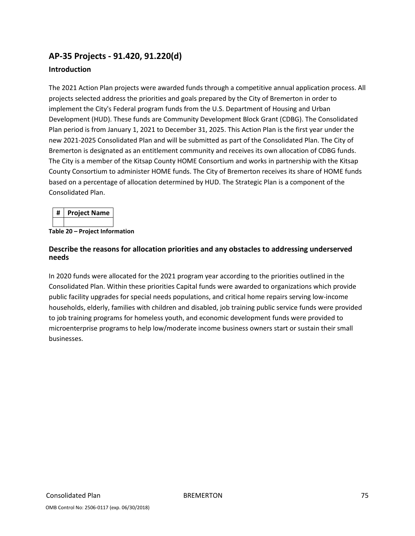### **AP-35 Projects - 91.420, 91.220(d)**

#### **Introduction**

The 2021 Action Plan projects were awarded funds through a competitive annual application process. All projects selected address the priorities and goals prepared by the City of Bremerton in order to implement the City's Federal program funds from the U.S. Department of Housing and Urban Development (HUD). These funds are Community Development Block Grant (CDBG). The Consolidated Plan period is from January 1, 2021 to December 31, 2025. This Action Plan is the first year under the new 2021-2025 Consolidated Plan and will be submitted as part of the Consolidated Plan. The City of Bremerton is designated as an entitlement community and receives its own allocation of CDBG funds. The City is a member of the Kitsap County HOME Consortium and works in partnership with the Kitsap County Consortium to administer HOME funds. The City of Bremerton receives its share of HOME funds based on a percentage of allocation determined by HUD. The Strategic Plan is a component of the Consolidated Plan.

| #   Project Name |  |
|------------------|--|
|                  |  |

#### **Table 20 – Project Information**

#### **Describe the reasons for allocation priorities and any obstacles to addressing underserved needs**

In 2020 funds were allocated for the 2021 program year according to the priorities outlined in the Consolidated Plan. Within these priorities Capital funds were awarded to organizations which provide public facility upgrades for special needs populations, and critical home repairs serving low-income households, elderly, families with children and disabled, job training public service funds were provided to job training programs for homeless youth, and economic development funds were provided to microenterprise programs to help low/moderate income business owners start or sustain their small businesses.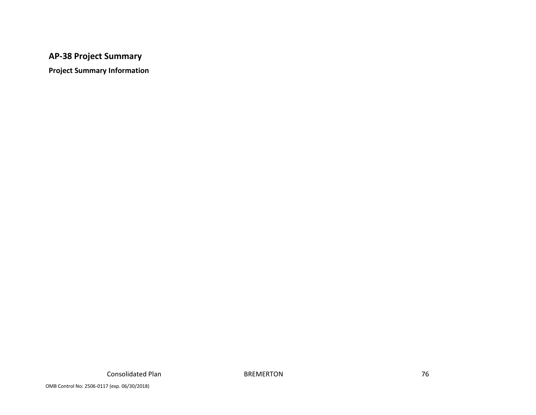# **AP-38 Project Summary**

**Project Summary Information**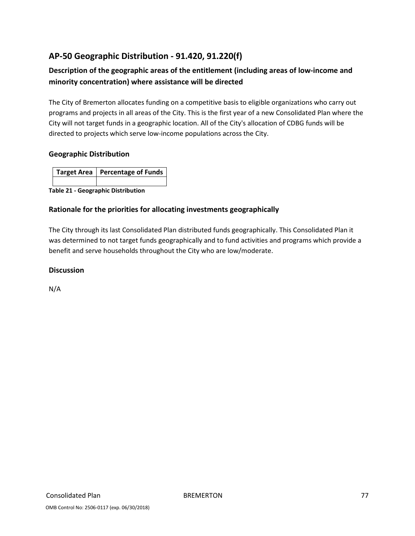## **AP-50 Geographic Distribution - 91.420, 91.220(f)**

### **Description of the geographic areas of the entitlement (including areas of low-income and minority concentration) where assistance will be directed**

The City of Bremerton allocates funding on a competitive basis to eligible organizations who carry out programs and projects in all areas of the City. This is the first year of a new Consolidated Plan where the City will not target funds in a geographic location. All of the City's allocation of CDBG funds will be directed to projects which serve low-income populations across the City.

#### **Geographic Distribution**

| Target Area   Percentage of Funds |
|-----------------------------------|
|                                   |

**Table 21 - Geographic Distribution** 

#### **Rationale for the priorities for allocating investments geographically**

The City through its last Consolidated Plan distributed funds geographically. This Consolidated Plan it was determined to not target funds geographically and to fund activities and programs which provide a benefit and serve households throughout the City who are low/moderate.

#### **Discussion**

N/A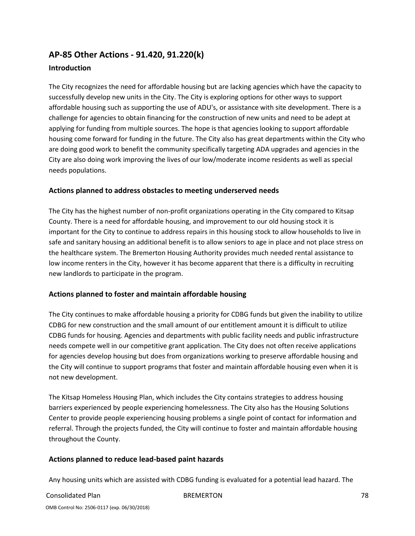# **AP-85 Other Actions - 91.420, 91.220(k)**

#### **Introduction**

The City recognizes the need for affordable housing but are lacking agencies which have the capacity to successfully develop new units in the City. The City is exploring options for other ways to support affordable housing such as supporting the use of ADU's, or assistance with site development. There is a challenge for agencies to obtain financing for the construction of new units and need to be adept at applying for funding from multiple sources. The hope is that agencies looking to support affordable housing come forward for funding in the future. The City also has great departments within the City who are doing good work to benefit the community specifically targeting ADA upgrades and agencies in the City are also doing work improving the lives of our low/moderate income residents as well as special needs populations.

#### **Actions planned to address obstacles to meeting underserved needs**

The City has the highest number of non-profit organizations operating in the City compared to Kitsap County. There is a need for affordable housing, and improvement to our old housing stock it is important for the City to continue to address repairs in this housing stock to allow households to live in safe and sanitary housing an additional benefit is to allow seniors to age in place and not place stress on the healthcare system. The Bremerton Housing Authority provides much needed rental assistance to low income renters in the City, however it has become apparent that there is a difficulty in recruiting new landlords to participate in the program.

#### **Actions planned to foster and maintain affordable housing**

The City continues to make affordable housing a priority for CDBG funds but given the inability to utilize CDBG for new construction and the small amount of our entitlement amount it is difficult to utilize CDBG funds for housing. Agencies and departments with public facility needs and public infrastructure needs compete well in our competitive grant application. The City does not often receive applications for agencies develop housing but does from organizations working to preserve affordable housing and the City will continue to support programs that foster and maintain affordable housing even when it is not new development.

The Kitsap Homeless Housing Plan, which includes the City contains strategies to address housing barriers experienced by people experiencing homelessness. The City also has the Housing Solutions Center to provide people experiencing housing problems a single point of contact for information and referral. Through the projects funded, the City will continue to foster and maintain affordable housing throughout the County.

#### **Actions planned to reduce lead-based paint hazards**

Any housing units which are assisted with CDBG funding is evaluated for a potential lead hazard. The

Consolidated Plan 88 and 2008 BREMERTON 2009 and 2009 and 2009 and 2009 and 2009 and 2009 and 2009 and 2009 and 2009 and 2009 and 2009 and 2009 and 2009 and 2009 and 2009 and 2009 and 2009 and 2009 and 2009 and 2009 and 20 OMB Control No: 2506-0117 (exp. 06/30/2018)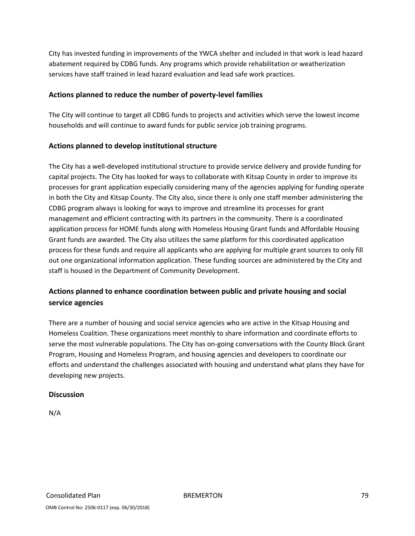City has invested funding in improvements of the YWCA shelter and included in that work is lead hazard abatement required by CDBG funds. Any programs which provide rehabilitation or weatherization services have staff trained in lead hazard evaluation and lead safe work practices.

#### **Actions planned to reduce the number of poverty-level families**

The City will continue to target all CDBG funds to projects and activities which serve the lowest income households and will continue to award funds for public service job training programs.

#### **Actions planned to develop institutional structure**

The City has a well-developed institutional structure to provide service delivery and provide funding for capital projects. The City has looked for ways to collaborate with Kitsap County in order to improve its processes for grant application especially considering many of the agencies applying for funding operate in both the City and Kitsap County. The City also, since there is only one staff member administering the CDBG program always is looking for ways to improve and streamline its processes for grant management and efficient contracting with its partners in the community. There is a coordinated application process for HOME funds along with Homeless Housing Grant funds and Affordable Housing Grant funds are awarded. The City also utilizes the same platform for this coordinated application process for these funds and require all applicants who are applying for multiple grant sources to only fill out one organizational information application. These funding sources are administered by the City and staff is housed in the Department of Community Development.

### **Actions planned to enhance coordination between public and private housing and social service agencies**

There are a number of housing and social service agencies who are active in the Kitsap Housing and Homeless Coalition. These organizations meet monthly to share information and coordinate efforts to serve the most vulnerable populations. The City has on-going conversations with the County Block Grant Program, Housing and Homeless Program, and housing agencies and developers to coordinate our efforts and understand the challenges associated with housing and understand what plans they have for developing new projects.

#### **Discussion**

N/A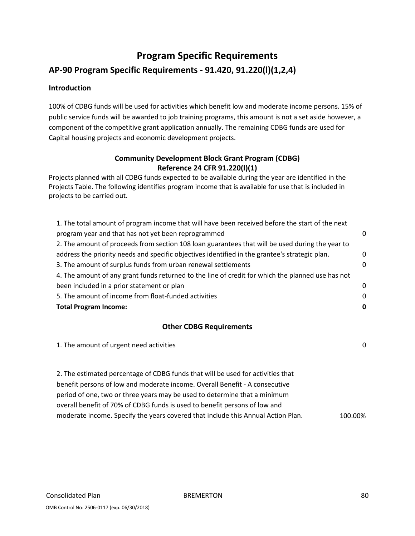# **Program Specific Requirements AP-90 Program Specific Requirements - 91.420, 91.220(l)(1,2,4)**

#### **Introduction**

100% of CDBG funds will be used for activities which benefit low and moderate income persons. 15% of public service funds will be awarded to job training programs, this amount is not a set aside however, a component of the competitive grant application annually. The remaining CDBG funds are used for Capital housing projects and economic development projects.

#### **Community Development Block Grant Program (CDBG) Reference 24 CFR 91.220(l)(1)**

Projects planned with all CDBG funds expected to be available during the year are identified in the Projects Table. The following identifies program income that is available for use that is included in projects to be carried out.

| 1. The total amount of program income that will have been received before the start of the next   |          |
|---------------------------------------------------------------------------------------------------|----------|
| program year and that has not yet been reprogrammed                                               | n        |
| 2. The amount of proceeds from section 108 loan guarantees that will be used during the year to   |          |
| address the priority needs and specific objectives identified in the grantee's strategic plan.    | $\Omega$ |
| 3. The amount of surplus funds from urban renewal settlements                                     | 0        |
| 4. The amount of any grant funds returned to the line of credit for which the planned use has not |          |
| been included in a prior statement or plan                                                        | 0        |
| 5. The amount of income from float-funded activities                                              | $\Omega$ |
| <b>Total Program Income:</b>                                                                      | 0        |

#### **Other CDBG Requirements**

| 1. The amount of urgent need activities                                          | 0       |
|----------------------------------------------------------------------------------|---------|
| 2. The estimated percentage of CDBG funds that will be used for activities that  |         |
| benefit persons of low and moderate income. Overall Benefit - A consecutive      |         |
| period of one, two or three years may be used to determine that a minimum        |         |
| overall benefit of 70% of CDBG funds is used to benefit persons of low and       |         |
| moderate income. Specify the years covered that include this Annual Action Plan. | 100.00% |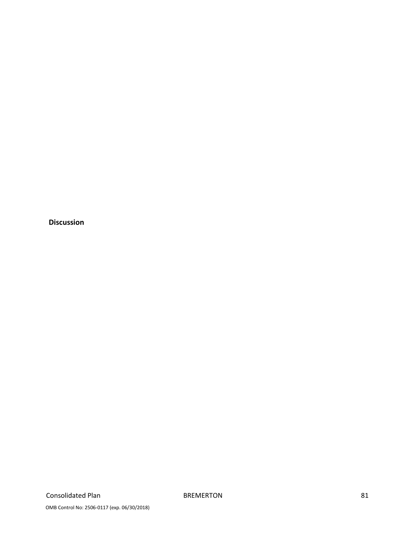**Discussion**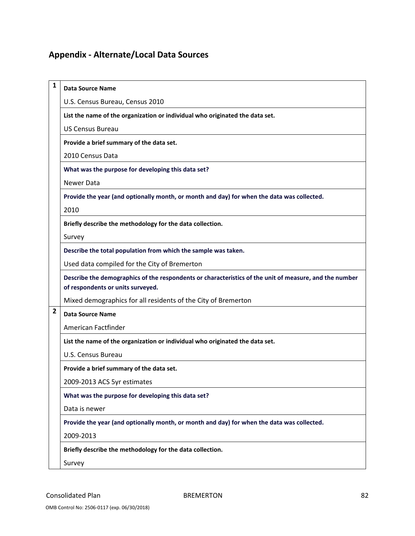## **Appendix - Alternate/Local Data Sources**

| 1              | Data Source Name                                                                                                                            |  |  |  |  |  |
|----------------|---------------------------------------------------------------------------------------------------------------------------------------------|--|--|--|--|--|
|                | U.S. Census Bureau, Census 2010                                                                                                             |  |  |  |  |  |
|                | List the name of the organization or individual who originated the data set.                                                                |  |  |  |  |  |
|                | <b>US Census Bureau</b>                                                                                                                     |  |  |  |  |  |
|                | Provide a brief summary of the data set.                                                                                                    |  |  |  |  |  |
|                | 2010 Census Data                                                                                                                            |  |  |  |  |  |
|                | What was the purpose for developing this data set?                                                                                          |  |  |  |  |  |
|                | Newer Data                                                                                                                                  |  |  |  |  |  |
|                | Provide the year (and optionally month, or month and day) for when the data was collected.                                                  |  |  |  |  |  |
|                | 2010                                                                                                                                        |  |  |  |  |  |
|                | Briefly describe the methodology for the data collection.                                                                                   |  |  |  |  |  |
|                | Survey                                                                                                                                      |  |  |  |  |  |
|                | Describe the total population from which the sample was taken.                                                                              |  |  |  |  |  |
|                | Used data compiled for the City of Bremerton                                                                                                |  |  |  |  |  |
|                | Describe the demographics of the respondents or characteristics of the unit of measure, and the number<br>of respondents or units surveyed. |  |  |  |  |  |
|                | Mixed demographics for all residents of the City of Bremerton                                                                               |  |  |  |  |  |
| $\overline{2}$ | <b>Data Source Name</b>                                                                                                                     |  |  |  |  |  |
|                | American Factfinder                                                                                                                         |  |  |  |  |  |
|                | List the name of the organization or individual who originated the data set.                                                                |  |  |  |  |  |
|                | U.S. Census Bureau                                                                                                                          |  |  |  |  |  |
|                | Provide a brief summary of the data set.                                                                                                    |  |  |  |  |  |
|                | 2009-2013 ACS 5yr estimates                                                                                                                 |  |  |  |  |  |
|                | What was the purpose for developing this data set?                                                                                          |  |  |  |  |  |
|                | Data is newer                                                                                                                               |  |  |  |  |  |
|                | Provide the year (and optionally month, or month and day) for when the data was collected.                                                  |  |  |  |  |  |
|                | 2009-2013                                                                                                                                   |  |  |  |  |  |
|                | Briefly describe the methodology for the data collection.                                                                                   |  |  |  |  |  |
|                | Survey                                                                                                                                      |  |  |  |  |  |

OMB Control No: 2506-0117 (exp. 06/30/2018)